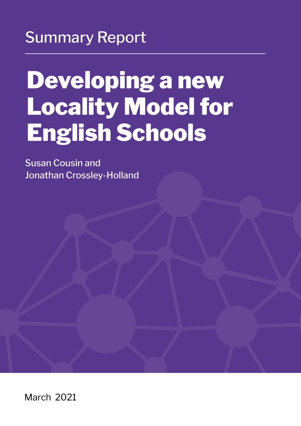### Summary Report

# Developing a new Locality Model for English Schools

Susan Cousin and Jonathan Crossley-Holland

March 2021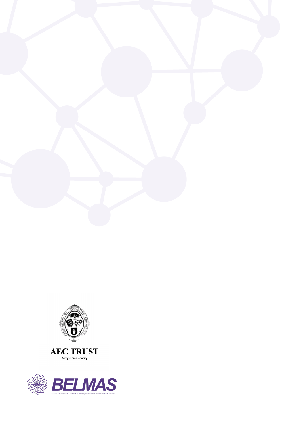



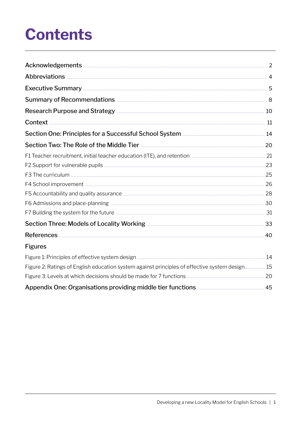## **Contents**

| Summary of Recommendations <b>Exercise Accommendations</b> 8                                                                                                                                                                              |  |
|-------------------------------------------------------------------------------------------------------------------------------------------------------------------------------------------------------------------------------------------|--|
| Research Purpose and Strategy <b>Election</b> 2008 and Strategy <b>All and All and All and All and All and All and All and All and All and All and All and All and All and All and All and All and All and All and All and All and Al</b> |  |
|                                                                                                                                                                                                                                           |  |
| Section One: Principles for a Successful School System <b>Entity of Action</b> 14                                                                                                                                                         |  |
| Section Two: The Role of the Middle Tier <b>Microsoff Construction</b> 20                                                                                                                                                                 |  |
|                                                                                                                                                                                                                                           |  |
|                                                                                                                                                                                                                                           |  |
|                                                                                                                                                                                                                                           |  |
|                                                                                                                                                                                                                                           |  |
|                                                                                                                                                                                                                                           |  |
|                                                                                                                                                                                                                                           |  |
|                                                                                                                                                                                                                                           |  |
| Section Three: Models of Locality Working <b>Election</b> 233                                                                                                                                                                             |  |
|                                                                                                                                                                                                                                           |  |
| <b>Figures</b>                                                                                                                                                                                                                            |  |
|                                                                                                                                                                                                                                           |  |
| Figure 2: Ratings of English education system against principles of effective system design 15                                                                                                                                            |  |
|                                                                                                                                                                                                                                           |  |
| Appendix One: Organisations providing middle tier functions <b>Elections</b> Assembled 45                                                                                                                                                 |  |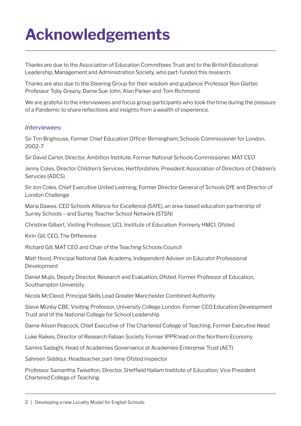# <span id="page-3-0"></span>**Acknowledgements**

Thanks are due to the Association of Education Committees Trust and to the British Educational Leadership, Management and Administration Society, who part-funded this research.

Thanks are also due to the Steering Group for their wisdom and guidance: Professor Ron Glatter, Professor Toby Greany, Dame Sue John, Alan Parker and Tom Richmond.

We are grateful to the interviewees and focus group participants who took the time during the pressure of a Pandemic to share reflections and insights from a wealth of experience.

#### *Interviewees:*

Sir Tim Brighouse, Former Chief Education Officer Birmingham; Schools Commissioner for London, 2002-7

Sir David Carter, Director, Ambition Institute. Former National Schools Commissioner, MAT CEO

Jenny Coles, Director Children's Services, Hertfordshire, President Association of Directors of Children's Services (ADCS)

Sir Jon Coles, Chief Executive United Learning; Former Director General of Schools DfE and Director of London Challenge

Maria Dawes, CEO Schools Alliance for Excellence (SAfE), an area-based education partnership of Surrey Schools – and Surrey Teacher School Network (STSN)

Christine Gilbert, Visiting Professor, UCL Institute of Education. Formerly HMCI, Ofsted

Kirin Gill, CEO, The Difference

Richard Gill, MAT CEO and Chair of the Teaching Schools Council

Matt Hood, Principal National Oak Academy, Independent Adviser on Educator Professional Development

Daniel Mujis, Deputy Director, Research and Evaluation, Ofsted. Former Professor of Education, Southampton University

Nicola McCleod, Principal Skills Lead Greater Manchester Combined Authority

Steve Munby CBE, Visiting Professor, University College London. Former CEO Education Development Trust and of the National College for School Leadership

Dame Alison Peacock, Chief Executive of The Chartered College of Teaching. Former Executive Head

Luke Raikes, Director of Research Fabian Society. Former IPPR lead on the Northern Economy

Samira Sadeghi, Head of Academies Governance at Academies Enterprise Trust (AET)

Sahreen Siddiqui, Headteacher, part-time Ofsted inspector

Professor Samantha Twiselton, Director, Sheffield Hallam Institute of Education, Vice President Chartered College of Teaching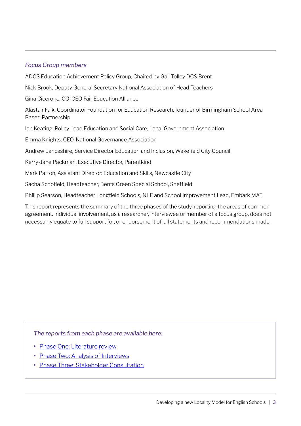#### *Focus Group members*

ADCS Education Achievement Policy Group, Chaired by Gail Tolley DCS Brent

Nick Brook, Deputy General Secretary National Association of Head Teachers

Gina Cicerone, CO-CEO Fair Education Alliance

Alastair Falk, Coordinator Foundation for Education Research, founder of Birmingham School Area Based Partnership

Ian Keating: Policy Lead Education and Social Care, Local Government Association

Emma Knights: CEO, National Governance Association

Andrew Lancashire, Service Director Education and Inclusion, Wakefield City Council

Kerry-Jane Packman, Executive Director, Parentkind

Mark Patton, Assistant Director: Education and Skills, Newcastle City

Sacha Schofield, Headteacher, Bents Green Special School, Sheffield

Phillip Searson, Headteacher Longfield Schools, NLE and School Improvement Lead, Embark MAT

This report represents the summary of the three phases of the study, reporting the areas of common agreement. Individual involvement, as a researcher, interviewee or member of a focus group, does not necessarily equate to full support for, or endorsement of, all statements and recommendations made.

*The reports from each phase are available here:* 

- **•** [Phase One: Literature review](http://www.belmas.org.uk/write/MediaUploads/Phase_1_The_Role_of_the_Middle_Tier_Lessons_from_four_high-performing_education_systems_(1).pdf)
- **•** [Phase Two: Analysis of Interviews](http://www.belmas.org.uk/write/MediaUploads/Phase_2_Analysis_of_Interviews.pdf)
- **•** [Phase Three: Stakeholder Consultation](http://www.belmas.org.uk/write/MediaUploads/Phase_3_Report_Final_(1).pdf)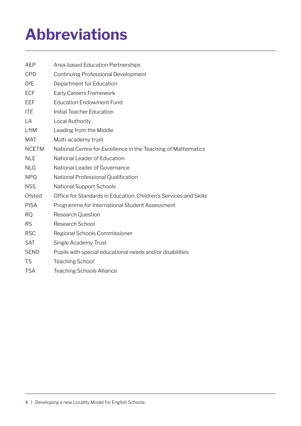# <span id="page-5-0"></span>**Abbreviations**

| AEP          | Area-based Education Partnerships                                 |
|--------------|-------------------------------------------------------------------|
| CPD          | <b>Continuing Professional Development</b>                        |
| <b>DfE</b>   | Department for Education                                          |
| <b>ECF</b>   | <b>Early Careers Framework</b>                                    |
| EEF          | <b>Education Endowment Fund</b>                                   |
| <b>ITE</b>   | <b>Initial Teacher Education</b>                                  |
| LA           | Local Authority                                                   |
| LftM         | Leading from the Middle                                           |
| <b>MAT</b>   | Multi-academy trust                                               |
| <b>NCETM</b> | National Centre for Excellence in the Teaching of Mathematics     |
| <b>NLE</b>   | National Leader of Education                                      |
| <b>NLG</b>   | National Leader of Governance                                     |
| <b>NPQ</b>   | National Professional Qualification                               |
| <b>NSS</b>   | National Support Schools                                          |
| Ofsted       | Office for Standards in Education, Children's Services and Skills |
| <b>PISA</b>  | Programme for International Student Assessment                    |
| <b>RQ</b>    | <b>Research Question</b>                                          |
| <b>RS</b>    | Research School                                                   |
| <b>RSC</b>   | Regional Schools Commissioner                                     |
| <b>SAT</b>   | Single Academy Trust                                              |
| <b>SEND</b>  | Pupils with special educational needs and/or disabilities         |
| <b>TS</b>    | <b>Teaching School</b>                                            |
| <b>TSA</b>   | <b>Teaching Schools Alliance</b>                                  |
|              |                                                                   |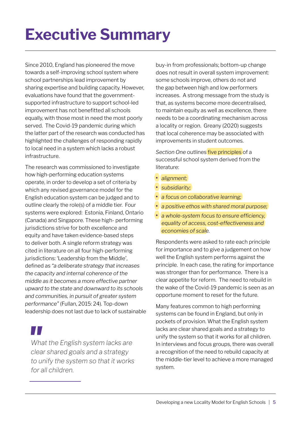# <span id="page-6-0"></span>**Executive Summary**

Since 2010, England has pioneered the move towards a self-improving school system where school partnerships lead improvement by sharing expertise and building capacity. However, evaluations have found that the governmentsupported infrastructure to support school-led improvement has not benefitted all schools equally, with those most in need the most poorly served. The Covid-19 pandemic during which the latter part of the research was conducted has highlighted the challenges of responding rapidly to local need in a system which lacks a robust infrastructure.

The research was commissioned to investigate how high-performing education systems operate, in order to develop a set of criteria by which any revised governance model for the English education system can be judged and to outline clearly the role(s) of a middle tier. Four systems were explored: Estonia, Finland, Ontario (Canada) and Singapore. These high- performing jurisdictions strive for both excellence and equity and have taken evidence-based steps to deliver both. A single reform strategy was cited in literature on all four high-performing jurisdictions: 'Leadership from the Middle', defined as *"a deliberate strategy that increases the capacity and internal coherence of the middle as it becomes a more effective partner upward to the state and downward to its schools and communities, in pursuit of greater system performance"* (Fullan, 2015: 24). Top-down leadership does not last due to lack of sustainable

*What the English system lacks are clear shared goals and a strategy to unify the system so that it works for all children.* 

buy-in from professionals; bottom-up change does not result in overall system improvement: some schools improve, others do not and the gap between high and low performers increases. A strong message from the study is that, as systems become more decentralised, to maintain equity as well as excellence, there needs to be a coordinating mechanism across a locality or region. Greany (2020) suggests that local coherence may be associated with improvements in student outcomes.

*Section One* outlines five principles of a successful school system derived from the literature:

- **•** *alignment;*
- **•** *subsidiarity;*
- **•** *a focus on collaborative learning;*
- **•** *a positive ethos with shared moral purpose;*
- **•** *a whole-system focus to ensure efficiency, equality of access, cost-effectiveness and economies of scale.*

Respondents were asked to rate each principle for importance and to give a judgement on how well the English system performs against the principle. In each case, the rating for importance was stronger than for performance. There is a clear appetite for reform. The need to rebuild in the wake of the Covid-19 pandemic is seen as an opportune moment to reset for the future.

Many features common to high performing systems can be found in England, but only in pockets of provision. What the English system lacks are clear shared goals and a strategy to unify the system so that it works for all children. In interviews and focus groups, there was overall a recognition of the need to rebuild capacity at the middle-tier level to achieve a more managed system.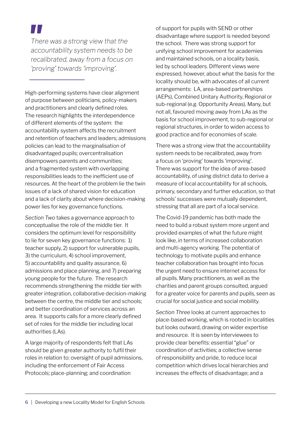

High-performing systems have clear alignment of purpose between politicians, policy-makers and practitioners and clearly defined roles. The research highlights the interdependence of different elements of the system: the accountability system affects the recruitment and retention of teachers and leaders; admissions policies can lead to the marginalisation of disadvantaged pupils; overcentralisation disempowers parents and communities; and a fragmented system with overlapping responsibilities leads to the inefficient use of resources. At the heart of the problem lie the twin issues of a lack of shared vision for education and a lack of clarity about where decision-making power lies for key governance functions.

*Section Two* takes a governance approach to conceptualise the role of the middle tier. It considers the optimum level for responsibility to lie for seven key governance functions: 1) teacher supply, 2) support for vulnerable pupils, 3) the curriculum, 4) school improvement, 5) accountability and quality assurance, 6) admissions and place planning, and 7) preparing young people for the future. The research recommends strengthening the middle tier with greater integration, collaborative decision-making between the centre, the middle tier and schools; and better coordination of services across an area. It supports calls for a more clearly defined set of roles for the middle tier including local authorities (LAs).

A large majority of respondents felt that LAs should be given greater authority to fulfil their roles in relation to: oversight of pupil admissions, including the enforcement of Fair Access Protocols; place-planning; and coordination

of support for pupils with SEND or other disadvantage where support is needed beyond the school. There was strong support for unifying school improvement for academies and maintained schools, on a locality basis, led by school leaders. Different views were expressed, however, about what the basis for the locality should be, with advocates of all current arrangements: LA, area-based partnerships (AEPs), Combined Unitary Authority, Regional or sub-regional (e.g. Opportunity Areas). Many, but not all, favoured moving away from LAs as the basis for school improvement, to sub-regional or regional structures, in order to widen access to good practice and for economies of scale.

There was a strong view that the accountability system needs to be recalibrated, away from a focus on 'proving' towards 'improving'. There was support for the idea of area-based accountability, of using district data to derive a measure of local accountability for all schools, primary, secondary and further education, so that schools' successes were mutually dependent, stressing that all are part of a local service.

The Covid-19 pandemic has both made the need to build a robust system more urgent and provided examples of what the future might look like, in terms of increased collaboration and multi-agency working. The potential of technology to motivate pupils and enhance teacher collaboration has brought into focus the urgent need to ensure internet access for all pupils. Many practitioners, as well as the charities and parent groups consulted, argued for a greater voice for parents and pupils, seen as crucial for social justice and social mobility.

*Section Three* looks at current approaches to place-based working, which is rooted in localities but looks outward, drawing on wider expertise and resource. It is seen by interviewees to provide clear benefits: essential "glue" or coordination of activities; a collective sense of responsibility and pride, to reduce local competition which drives local hierarchies and increases the effects of disadvantage; and a

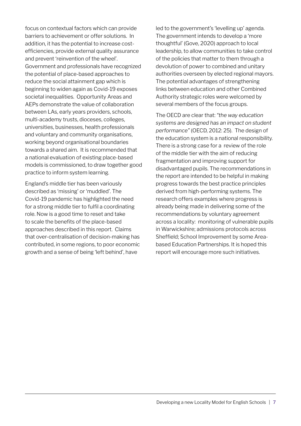focus on contextual factors which can provide barriers to achievement or offer solutions. In addition, it has the potential to increase costefficiencies, provide external quality assurance and prevent 'reinvention of the wheel'. Government and professionals have recognized the potential of place-based approaches to reduce the social attainment gap which is beginning to widen again as Covid-19 exposes societal inequalities. Opportunity Areas and AEPs demonstrate the value of collaboration between LAs, early years providers, schools, multi-academy trusts, dioceses, colleges, universities, businesses, health professionals and voluntary and community organisations, working beyond organisational boundaries towards a shared aim. It is recommended that a national evaluation of existing place-based models is commissioned, to draw together good practice to inform system learning.

England's middle tier has been variously described as 'missing' or 'muddled'. The Covid-19 pandemic has highlighted the need for a strong middle tier to fulfil a coordinating role. Now is a good time to reset and take to scale the benefits of the place-based approaches described in this report. Claims that over-centralisation of decision-making has contributed, in some regions, to poor economic growth and a sense of being 'left behind', have

led to the government's 'levelling up' agenda. The government intends to develop a 'more thoughtful' (Gove, 2020) approach to local leadership, to allow communities to take control of the policies that matter to them through a devolution of power to combined and unitary authorities overseen by elected regional mayors. The potential advantages of strengthening links between education and other Combined Authority strategic roles were welcomed by several members of the focus groups.

The OECD are clear that: *"the way education systems are designed has an impact on student performance"* (OECD, 2012: 25). The design of the education system is a national responsibility. There is a strong case for a review of the role of the middle tier with the aim of reducing fragmentation and improving support for disadvantaged pupils. The recommendations in the report are intended to be helpful in making progress towards the best practice principles derived from high-performing systems. The research offers examples where progress is already being made in delivering some of the recommendations by voluntary agreement across a locality: monitoring of vulnerable pupils in Warwickshire; admissions protocols across Sheffield; School Improvement by some Areabased Education Partnerships. It is hoped this report will encourage more such initiatives.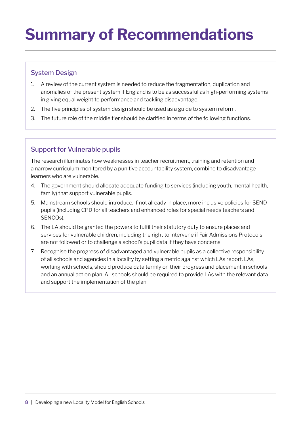## <span id="page-9-0"></span>**Summary of Recommendations**

#### System Design

- 1. A review of the current system is needed to reduce the fragmentation, duplication and anomalies of the present system if England is to be as successful as high-performing systems in giving equal weight to performance and tackling disadvantage.
- 2. The five principles of system design should be used as a guide to system reform.
- 3. The future role of the middle tier should be clarified in terms of the following functions.

#### Support for Vulnerable pupils

The research illuminates how weaknesses in teacher recruitment, training and retention and a narrow curriculum monitored by a punitive accountability system, combine to disadvantage learners who are vulnerable.

- 4. The government should allocate adequate funding to services (including youth, mental health, family) that support vulnerable pupils.
- 5. Mainstream schools should introduce, if not already in place, more inclusive policies for SEND pupils (including CPD for all teachers and enhanced roles for special needs teachers and SENCOs).
- 6. The LA should be granted the powers to fulfil their statutory duty to ensure places and services for vulnerable children, including the right to intervene if Fair Admissions Protocols are not followed or to challenge a school's pupil data if they have concerns.
- 7. Recognise the progress of disadvantaged and vulnerable pupils as a collective responsibility of all schools and agencies in a locality by setting a metric against which LAs report. LAs, working with schools, should produce data termly on their progress and placement in schools and an annual action plan. All schools should be required to provide LAs with the relevant data and support the implementation of the plan.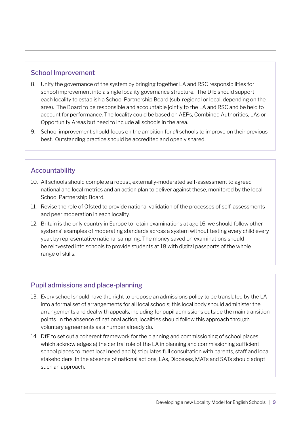#### School Improvement

- 8. Unify the governance of the system by bringing together LA and RSC responsibilities for school improvement into a single locality governance structure. The DfE should support each locality to establish a School Partnership Board (sub-regional or local, depending on the area). The Board to be responsible and accountable jointly to the LA and RSC and be held to account for performance. The locality could be based on AEPs, Combined Authorities, LAs or Opportunity Areas but need to include all schools in the area.
- 9. School improvement should focus on the ambition for *all* schools to improve on their previous best. Outstanding practice should be accredited and openly shared.

#### Accountability

- 10. All schools should complete a robust, externally-moderated self-assessment to agreed national and local metrics and an action plan to deliver against these, monitored by the local School Partnership Board.
- 11. Revise the role of Ofsted to provide national validation of the processes of self-assessments and peer moderation in each locality.
- 12. Britain is the only country in Europe to retain examinations at age 16; we should follow other systems' examples of moderating standards across a system without testing every child every year, by representative national sampling. The money saved on examinations should be reinvested into schools to provide students at 18 with digital passports of the whole range of skills.

#### Pupil admissions and place-planning

- 13. Every school should have the right to propose an admissions policy to be translated by the LA into a formal set of arrangements for all local schools; this local body should administer the arrangements and deal with appeals, including for pupil admissions outside the main transition points. In the absence of national action, localities should follow this approach through voluntary agreements as a number already do.
- 14. DfE to set out a coherent framework for the planning and commissioning of school places which acknowledges a) the central role of the LA in planning and commissioning sufficient school places to meet local need and b) stipulates full consultation with parents, staff and local stakeholders. In the absence of national actions, LAs, Dioceses, MATs and SATs should adopt such an approach.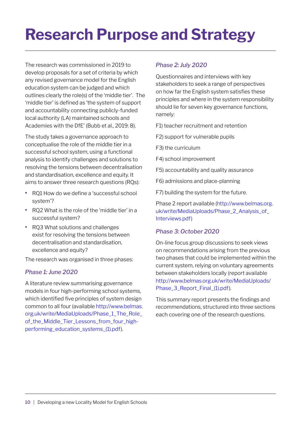# <span id="page-11-0"></span>**Research Purpose and Strategy**

The research was commissioned in 2019 to develop proposals for a set of criteria by which any revised governance model for the English education system can be judged and which outlines clearly the role(s) of the 'middle tier'. The 'middle tier' is defined as 'the system of support and accountability connecting publicly-funded local authority (LA) maintained schools and Academies with the DfE' (Bubb et al., 2019: 8).

The study takes a governance approach to conceptualise the role of the middle tier in a successful school system, using a functional analysis to identify challenges and solutions to resolving the tensions between decentralisation and standardisation, excellence and equity. It aims to answer three research questions (RQs):

- **•** RQ1 How do we define a 'successful school system'?
- **•** RQ2 What is the role of the 'middle tier' in a successful system?
- **•** RQ3 What solutions and challenges exist for resolving the tensions between decentralisation and standardisation, excellence and equity?

The research was organised in three phases:

#### *Phase 1: June 2020*

A literature review summarising governance models in four high-performing school systems, which identified five principles of system design common to all four (available [http://www.belmas.](http://www.belmas.org.uk/write/MediaUploads/Phase_1_The_Role_of_the_Middle_Tier_Lessons_from_four_high-performing_education_systems_(1).pdf) org.uk/write/MediaUploads/Phase\_1\_The\_Role\_ of\_the\_Middle\_Tier\_Lessons\_from\_four\_highperforming\_education\_systems\_(1).pdf).

#### *Phase 2: July 2020*

Questionnaires and interviews with key stakeholders to seek a range of perspectives on how far the English system satisfies these principles and where in the system responsibility should lie for seven key governance functions, namely:

F1) teacher recruitment and retention

- F2) support for vulnerable pupils
- F3) the curriculum
- F4) school improvement
- F5) accountability and quality assurance
- F6) admissions and place-planning
- F7) building the system for the future.

Phase 2 report available [\(http://www.belmas.org.](http://www.belmas.org.uk/write/MediaUploads/Phase_2_Analysis_of_Interviews.pdf) [uk/write/MediaUploads/Phase\\_2\\_Analysis\\_of\\_](http://www.belmas.org.uk/write/MediaUploads/Phase_2_Analysis_of_Interviews.pdf) [Interviews.pdf\)](http://www.belmas.org.uk/write/MediaUploads/Phase_2_Analysis_of_Interviews.pdf)

#### *Phase 3: October 2020*

On-line focus group discussions to seek views on recommendations arising from the previous two phases that could be implemented within the current system, relying on voluntary agreements between stakeholders locally (report available [http://www.belmas.org.uk/write/MediaUploads/](http://www.belmas.org.uk/write/MediaUploads/Phase_3_Report_Final_(1).pdf) [Phase\\_3\\_Report\\_Final\\_\(1\).pdf](http://www.belmas.org.uk/write/MediaUploads/Phase_3_Report_Final_(1).pdf)).

This summary report presents the findings and recommendations, structured into three sections each covering one of the research questions.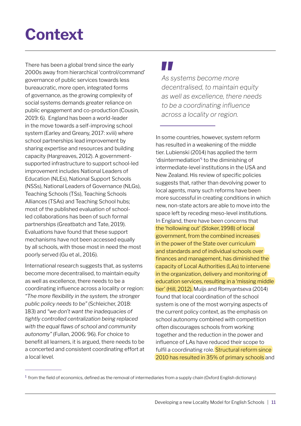### <span id="page-12-0"></span>**Context**

There has been a global trend since the early 2000s away from hierarchical 'control/command' governance of public services towards less bureaucratic, more open, integrated forms of governance, as the growing complexity of social systems demands greater reliance on public engagement and co-production (Cousin, 2019: 6). England has been a world-leader in the move towards a self-improving school system (Earley and Greany, 2017: xviii) where school partnerships lead improvement by sharing expertise and resources and building capacity (Hargreaves, 2012). A governmentsupported infrastructure to support school-led improvement includes National Leaders of Education (NLEs), National Support Schools (NSSs), National Leaders of Governance (NLGs), Teaching Schools (TSs), Teaching Schools Alliances (TSAs) and Teaching School hubs; most of the published evaluation of schoolled collaborations has been of such formal partnerships (Greatbatch and Tate, 2019). Evaluations have found that these support mechanisms have not been accessed equally by all schools, with those most in need the most poorly served (Gu et al., 2016).

International research suggests that, as systems become more decentralised, to maintain equity as well as excellence, there needs to be a coordinating influence across a locality or region: *"The more flexibility in the system, the stronger public policy needs to be"* (Schleicher, 2018: 183) and *"we don't want the inadequacies of tightly controlled centralization being replaced with the equal flaws of school and community autonomy"* (Fullan, 2006: 96). For choice to benefit all learners, it is argued, there needs to be a concerted and consistent coordinating effort at a local level.

### **TI**

*As systems become more decentralised, to maintain equity as well as excellence, there needs to be a coordinating influence across a locality or region.* 

In some countries, however, system reform has resulted in a weakening of the middle tier. Lubienski (2014) has applied the term 'disintermediation'<sup>1</sup> to the diminishing of intermediate-level institutions in the USA and New Zealand. His review of specific policies suggests that, rather than devolving power to local agents, many such reforms have been more successful in creating conditions in which new, non-state actors are able to move into the space left by receding meso-level institutions. In England, there have been concerns that the 'hollowing out' (Stoker, 1998) of local government, from the combined increases in the power of the State over curriculum and standards and of individual schools over finances and management, has diminished the capacity of Local Authorities (LAs) to intervene in the organization, delivery and monitoring of education services, resulting in a 'missing middle tier' (Hill, 2012). Muijs and Romyantseva (2014) found that local coordination of the school system is one of the most worrying aspects of the current policy context, as the emphasis on school autonomy combined with competition often discourages schools from working together and the reduction in the power and influence of LAs have reduced their scope to fulfil a coordinating role. Structural reform since 2010 has resulted in 35% of primary schools and

 $1$  from the field of economics, defined as the removal of intermediaries from a supply chain (Oxford English dictionary)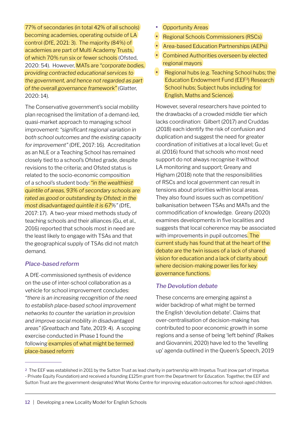77% of secondaries (in total 42% of all schools) becoming academies, operating outside of LA control (DfE, 2021: 3). The majority (84%) of academies are part of Multi Academy Trusts, of which 70% run six or fewer schools (Ofsted, 2020: 54). However, MATs are *"corporate bodies, providing contracted educational services to the government, and hence not regarded as part of the overall governance framework"* (Glatter, 2020: 14).

The Conservative government's social mobility plan recognised the limitation of a demand-led, quasi-market approach to managing school improvement: *"significant regional variation in both school outcomes and the existing capacity for improvement"* (DfE, 2017: 16). Accreditation as an NLE or a Teaching School has remained closely tied to a school's Ofsted grade, despite revisions to the criteria; and Ofsted status is related to the socio-economic composition of a school's student body: *"in the wealthiest quintile of areas, 93% of secondary schools are rated as good or outstanding by Ofsted; in the most disadvantaged quintile it is 67%"* (DfE, 2017: 17). A two-year mixed methods study of teaching schools and their alliances (Gu, et al., 2016) reported that schools most in need are the least likely to engage with TSAs and that the geographical supply of TSAs did not match demand.

#### *Place-based reform*

A DfE-commissioned synthesis of evidence on the use of inter-school collaboration as a vehicle for school improvement concludes: *"there is an increasing recognition of the need to establish place-based school improvement networks to counter the variation in provision and improve social mobility in disadvantaged areas"* (Greatbach and Tate, 2019: 4). A scoping exercise conducted in Phase 1 found the following examples of what might be termed place-based reform:

- **•** Opportunity Areas
- **•** Regional Schools Commissioners (RSCs)
- Area-based Education Partnerships (AEPs)
- Combined Authorities overseen by elected regional mayors
- Regional hubs (e.g. Teaching School hubs; the Education Endowment Fund (EEF<sup>2</sup>) Research School hubs; Subject hubs including for English, Maths and Science).

However, several researchers have pointed to the drawbacks of a crowded middle tier which lacks coordination: Gilbert (2017) and Cruddas (2018) each identify the risk of confusion and duplication and suggest the need for greater coordination of initiatives at a local level; Gu et al. (2016) found that schools who most need support do not always recognise it without LA monitoring and support; Greany and Higham (2018) note that the responsibilities of RSCs and local government can result in tensions about priorities within local areas. They also found issues such as competition/ balkanisation between TSAs and MATs and the commodification of knowledge. Greany (2020) examines developments in five localities and suggests that local coherence may be associated with improvements in pupil outcomes. The current study has found that at the heart of the debate are the twin issues of a lack of shared vision for education and a lack of clarity about where decision-making power lies for key governance functions.

#### *The Devolution debate*

These concerns are emerging against a wider backdrop of what might be termed the English 'devolution debate'. Claims that over-centralisation of decision-making has contributed to poor economic growth in some regions and a sense of being 'left behind' (Raikes and Giovannini, 2020) have led to the 'levelling up' agenda outlined in the Queen's Speech, 2019

<sup>2</sup> The EEF was established in 2011 by the Sutton Trust as lead charity in partnership with Impetus Trust (now part of Impetus - Private Equity Foundation) and received a founding £125m grant from the Department for Education. Together, the EEF and Sutton Trust are the government-designated What Works Centre for improving education outcomes for school-aged children.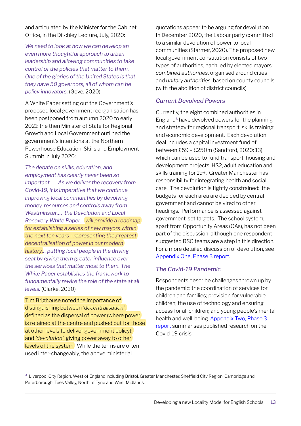and articulated by the Minister for the Cabinet Office, in the Ditchley Lecture, July, 2020:

*We need to look at how we can develop an even more thoughtful approach to urban leadership and allowing communities to take control of the policies that matter to them. One of the glories of the United States is that they have 50 governors, all of whom can be policy innovators.* (Gove, 2020)

A White Paper setting out the Government's proposed local government reorganisation has been postponed from autumn 2020 to early 2021: the then Minister of State for Regional Growth and Local Government outlined the government's intentions at the Northern Powerhouse Education, Skills and Employment Summit in July 2020:

*The debate on skills, education, and employment has clearly never been so important …. As we deliver the recovery from Covid-19, it is imperative that we continue improving local communities by devolving money, resources and controls away from Westminster…. the Devolution and Local Recovery White Paper… will provide a roadmap for establishing a series of new mayors within the next ten years - representing the greatest decentralisation of power in our modern history… putting local people in the driving seat by giving them greater influence over the services that matter most to them. The White Paper establishes the framework to fundamentally rewire the role of the state at all levels.* (Clarke, 2020)

Tim Brighouse noted the importance of distinguishing between *'decentralisation'*, defined as the dispersal of power (where power is retained at the centre and pushed out for those at other levels to deliver government policy); and *'devolution'*, giving power away to other levels of the system. While the terms are often used inter-changeably, the above ministerial

quotations appear to be arguing for devolution. In December 2020, the Labour party committed to a similar devolution of power to local communities (Starmer, 2020). The proposed new local government constitution consists of two types of authorities, each led by elected mayors: *combined authorities*, organised around cities and *unitary authorities*, based on county councils (with the abolition of district councils).

#### *Current Devolved Powers*

Currently, the eight combined authorities in England3 have devolved powers for the planning and strategy for regional transport, skills training and economic development. Each devolution deal includes a capital investment fund of between £59 – £250m (Sandford, 2020: 13) which can be used to fund transport, housing and development projects, HS2, adult education and skills training for 19+. Greater Manchester has responsibility for integrating health and social care. The devolution is tightly constrained: the budgets for each area are decided by central government and cannot be vired to other headings. Performance is assessed against government-set targets. The school system, apart from Opportunity Areas (OAs), has not been part of the discussion, although one respondent suggested RSC teams are a step in this direction. For a more detailed discussion of devolution, see [Appendix One, Phase 3 report](http://www.belmas.org.uk/write/MediaUploads/Phase_3_Report_Final_(1).pdf#page=29).

#### *The Covid-19 Pandemic*

Respondents describe challenges thrown up by the pandemic: the coordination of services for children and families; provision for vulnerable children; the use of technology and ensuring access for all children; and young people's mental health and well-being. [Appendix Two, Phase 3](http://www.belmas.org.uk/write/MediaUploads/Phase_3_Report_Final_(1).pdf#page=31)  [report](http://www.belmas.org.uk/write/MediaUploads/Phase_3_Report_Final_(1).pdf#page=31) summarises published research on the Covid-19 crisis.

<sup>&</sup>lt;sup>3</sup> Liverpool City Region, West of England including Bristol, Greater Manchester, Sheffield City Region, Cambridge and Peterborough, Tees Valley, North of Tyne and West Midlands.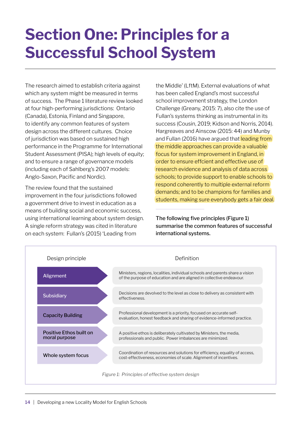### <span id="page-15-0"></span>**Section One: Principles for a Successful School System**

The research aimed to establish criteria against which any system might be measured in terms of success. The Phase 1 literature review looked at four high-performing jurisdictions: Ontario (Canada), Estonia, Finland and Singapore, to identify any common features of system design across the different cultures. Choice of jurisdiction was based on sustained high performance in the Programme for International Student Assessment (PISA); high levels of equity; and to ensure a range of governance models (including each of Sahlberg's 2007 models: Anglo-Saxon, Pacific and Nordic).

The review found that the sustained improvement in the four jurisdictions followed a government drive to invest in education as a means of building social and economic success, using international learning about system design. A single reform strategy was cited in literature on each system: Fullan's (2015) 'Leading from

the Middle' (LftM). External evaluations of what has been called England's most successful school improvement strategy, the London Challenge (Greany, 2015: 7), also cite the use of Fullan's systems thinking as instrumental in its success (Cousin, 2019; Kidson and Norris, 2014). Hargreaves and Ainscow (2015: 44) and Munby and Fullan (2016) have argued that leading from the middle approaches can provide a valuable focus for system improvement in England, in order to ensure effcient and effective use of research evidence and analysis of data across schools; to provide support to enable schools to respond coherently to multiple external reform demands; and to be champions for families and students, making sure everybody gets a fair deal.

The following five principles (Figure 1) summarise the common features of successful international systems.

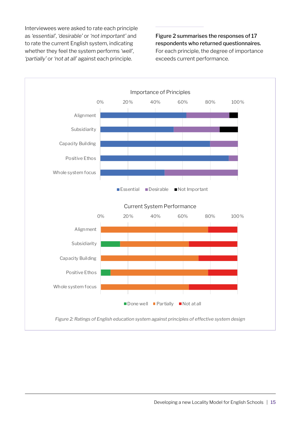Interviewees were asked to rate each principle as *'essential'*, *'desirable'* or *'not important'* and to rate the current English system, indicating whether they feel the system performs *'well'*, *'partially'* or *'not at all'* against each principle.

Figure 2 summarises the responses of 17 respondents who returned questionnaires. For each principle, the degree of importance exceeds current performance.

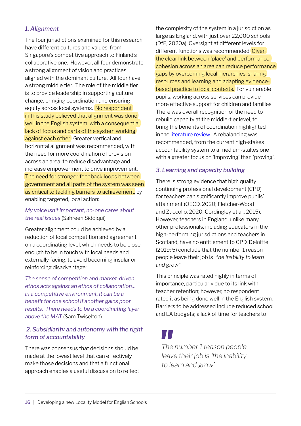#### *1. Alignment*

The four jurisdictions examined for this research have different cultures and values, from Singapore's competitive approach to Finland's collaborative one. However, all four demonstrate a strong alignment of vision and practices aligned with the dominant culture. All four have a strong middle tier. The role of the middle tier is to provide leadership in supporting culture change, bringing coordination and ensuring equity across local systems. No respondent in this study believed that alignment was done well in the English system, with a consequential lack of focus and parts of the system working against each other. Greater vertical and horizontal alignment was recommended, with the need for more coordination of provision across an area, to reduce disadvantage and increase empowerment to drive improvement. The need for stronger feedback loops between government and all parts of the system was seen as critical to tackling barriers to achievement, by enabling targeted, local action:

*My voice isn't important, no-one cares about the real issues* (Sahreen Siddiqui)

Greater alignment could be achieved by a reduction of local competition and agreement on a coordinating level, which needs to be close enough to be in touch with local needs and externally facing, to avoid becoming insular or reinforcing disadvantage:

*The sense of competition and market-driven ethos acts against an ethos of collaboration… in a competitive environment, it can be a benefit for one school if another gains poor results. There needs to be a coordinating layer above the MAT* (Sam Twiselton)

#### *2. Subsidiarity and autonomy with the right form of accountability*

There was consensus that decisions should be made at the lowest level that can effectively make those decisions and that a functional approach enables a useful discussion to reflect the complexity of the system in a jurisdiction as large as England, with just over 22,000 schools (DfE, 2020a). Oversight at different levels for different functions was recommended. Given the clear link between 'place' and performance, cohesion across an area can reduce performance gaps by overcoming local hierarchies, sharing resources and learning and adapting evidencebased practice to local contexts. For vulnerable pupils, working across services can provide more effective support for children and families. There was overall recognition of the need to rebuild capacity at the middle-tier level, to bring the benefits of coordination highlighted in the [literature review](http://www.belmas.org.uk/write/MediaUploads/Phase_1_The_Role_of_the_Middle_Tier_Lessons_from_four_high-performing_education_systems_(1).pdf). A rebalancing was recommended, from the current high-stakes accountability system to a medium-stakes one with a greater focus on 'improving' than 'proving'.

#### *3. Learning and capacity building*

There is strong evidence that high quality continuing professional development (CPD) for teachers can significantly improve pupils' attainment (OECD, 2020; Fletcher-Wood and Zuccollo, 2020; Cordingley et al., 2015). However, teachers in England, unlike many other professionals, including educators in the high-performing jurisdictions and teachers in Scotland, have no entitlement to CPD. Deloitte (2019: 5) conclude that the number 1 reason people leave their job is *"the inability to learn and grow"*.

This principle was rated highly in terms of importance, particularly due to its link with teacher retention; however, no respondent rated it as being done well in the English system. Barriers to be addressed include reduced school and LA budgets; a lack of time for teachers to

### M I

*The number 1 reason people leave their job is 'the inability to learn and grow'.*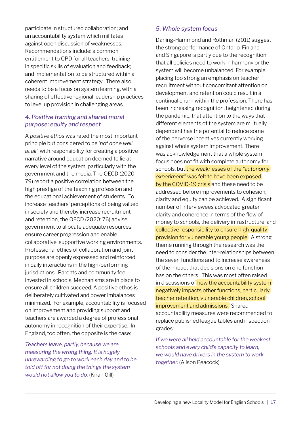participate in structured collaboration; and an accountability system which militates against open discussion of weaknesses. Recommendations include: a common entitlement to CPD for all teachers; training in specific skills of evaluation and feedback; and implementation to be structured within a coherent improvement strategy. There also needs to be a focus on system learning, with a sharing of effective regional leadership practices to level up provision in challenging areas.

#### *4. Positive framing and shared moral purpose: equity and respect*

A *positive ethos* was rated the most important principle but considered to be '*not done well at all'*, with responsibility for creating a positive narrative around education deemed to lie at every level of the system, particularly with the government and the media. The OECD (2020: 79) report a positive correlation between the high prestige of the teaching profession and the educational achievement of students. To increase teachers' perceptions of being valued in society and thereby increase recruitment and retention, the OECD (2020: 76) advise government to allocate adequate resources, ensure career progression and enable collaborative, supportive working environments. Professional ethics of collaboration and joint purpose are openly expressed and reinforced in daily interactions in the high-performing jurisdictions. Parents and community feel invested in schools. Mechanisms are in place to ensure all children succeed. A positive ethos is deliberately cultivated and power imbalances minimized. For example, accountability is focused on improvement and providing support and teachers are awarded a degree of professional autonomy in recognition of their expertise. In England, too often, the opposite is the case:

*Teachers leave, partly, because we are measuring the wrong thing. It is hugely unrewarding to go to work each day and to be told off for not doing the things the system would not allow you to do.* (Kiran Gill)

#### *5. Whole system focus*

Darling-Hammond and Rothman (2011) suggest the strong performance of Ontario, Finland and Singapore is partly due to the recognition that all policies need to work in harmony or the system will become unbalanced. For example, placing too strong an emphasis on teacher recruitment without concomitant attention on development and retention could result in a continual churn within the profession. There has been increasing recognition, heightened during the pandemic, that attention to the ways that different elements of the system are mutually dependent has the potential to reduce some of the perverse incentives currently working against whole system improvement. There was acknowledgement that a whole system focus does not fit with complete autonomy for schools, but the weaknesses of the *"autonomy experiment"* was felt to have been exposed by the COVID-19 crisis and these need to be addressed before improvements to cohesion, clarity and equity can be achieved. A significant number of interviewees advocated greater clarity and coherence in terms of the flow of money to schools, the delivery infrastructure, and collective responsibility to ensure high-quality provision for vulnerable young people. A strong theme running through the research was the need to consider the inter-relationships between the seven functions and to increase awareness of the impact that decisions on one function has on the others. This was most often raised in discussions of how the accountability system negatively impacts other functions, particularly teacher retention, vulnerable children, school improvement and admissions. Shared accountability measures were recommended to replace published league tables and inspection grades:

*If we were all held accountable for the weakest schools and every child's capacity to learn, we would have drivers in the system to work together.* (Alison Peacock)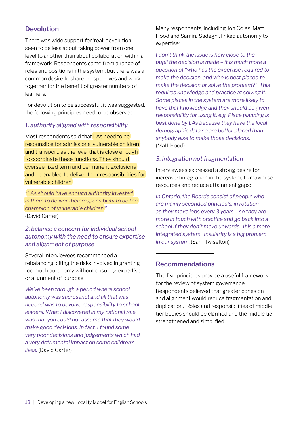#### **Devolution**

There was wide support for 'real' devolution, seen to be less about taking power from one level to another than about collaboration within a framework. Respondents came from a range of roles and positions in the system, but there was a common desire to share perspectives and work together for the benefit of greater numbers of learners.

For devolution to be successful, it was suggested, the following principles need to be observed:

#### *1. authority aligned with responsibility*

Most respondents said that LAs need to be responsible for admissions, vulnerable children and transport, as the level that is close enough to coordinate these functions. They should oversee fixed term and permanent exclusions and be enabled to deliver their responsibilities for vulnerable children.

*"LAs should have enough authority invested in them to deliver their responsibility to be the champion of vulnerable children."*  (David Carter)

#### *2. balance a concern for individual school autonomy with the need to ensure expertise and alignment of purpose*

Several interviewees recommended a rebalancing, citing the risks involved in granting too much autonomy without ensuring expertise or alignment of purpose.

*We've been through a period where school autonomy was sacrosanct and all that was needed was to devolve responsibility to school leaders. What I discovered in my national role was that you could not assume that they would make good decisions. In fact, I found some very poor decisions and judgements which had a very detrimental impact on some children's lives.* (David Carter)

Many respondents, including Jon Coles, Matt Hood and Samira Sadeghi, linked autonomy to expertise:

*I don't think the issue is how close to the pupil the decision is made – it is much more a question of "who has the expertise required to make the decision, and who is best placed to make the decision or solve the problem?" This requires knowledge and practice at solving it. Some places in the system are more likely to have that knowledge and they should be given responsibility for using it, e.g. Place planning is best done by LAs because they have the local demographic data so are better placed than anybody else to make those decisions.*  (Matt Hood)

#### *3. integration not fragmentation*

Interviewees expressed a strong desire for increased integration in the system, to maximise resources and reduce attainment gaps:

*In Ontario, the Boards consist of people who are mainly seconded principals, in rotation – as they move jobs every 3 years – so they are more in touch with practice and go back into a school if they don't move upwards. It is a more integrated system. Insularity is a big problem in our system.* (Sam Twiselton)

#### **Recommendations**

The five principles provide a useful framework for the review of system governance. Respondents believed that greater cohesion and alignment would reduce fragmentation and duplication. Roles and responsibilities of middle tier bodies should be clarified and the middle tier strengthened and simplified.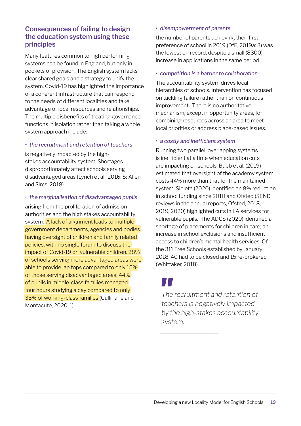#### **Consequences of failing to design the education system using these principles**

Many features common to high performing systems can be found in England, but only in pockets of provision. The English system lacks clear shared goals and a strategy to unify the system. Covid-19 has highlighted the importance of a coherent infrastructure that can respond to the needs of different localities and take advantage of local resources and relationships. The multiple disbenefits of treating governance functions in isolation rather than taking a whole system approach include:

#### *• the recruitment and retention of teachers*

is negatively impacted by the highstakes accountability system. Shortages disproportionately affect schools serving disadvantaged areas (Lynch et al., 2016: 5; Allen and Sims, 2018).

#### *• the marginalisation of disadvantaged pupils*

arising from the proliferation of admission authorities and the high stakes accountability system. A lack of alignment leads to multiple government departments, agencies and bodies having oversight of children and family related policies, with no single forum to discuss the impact of Covid-19 on vulnerable children. 28% of schools serving more advantaged areas were able to provide lap tops compared to only 15% of those serving disadvantaged areas; 44% of pupils in middle-class families managed four hours studying a day compared to only 33% of working-class families (Cullinane and Montacute, 2020: 1).

#### *• disempowerment of parents*

the number of parents achieving their first preference of school in 2019 (DfE, 2019a: 3) was the lowest on record, despite a small (8300) increase in applications in the same period.

#### *• competition is a barrier to collaboration*

The accountability system drives local hierarchies of schools. Intervention has focused on tackling failure rather than on continuous improvement. There is no authoritative mechanism, except in opportunity areas, for combining resources across an area to meet local priorities or address place-based issues.

#### *• a costly and inefficient system*

Running two parallel, overlapping systems is inefficient at a time when education cuts are impacting on schools. Bubb et al. (2019) estimated that oversight of the academy system costs 44% more than that for the maintained system. Sibieta (2020) identified an 8% reduction in school funding since 2010 and Ofsted (SEND reviews in the annual reports, Ofsted, 2018, 2019, 2020) highlighted cuts in LA services for vulnerable pupils. The ADCS (2020) identified a shortage of placements for children in care; an increase in school exclusions and insufficient access to children's mental health services. Of the 311 Free Schools established by January 2018, 40 had to be closed and 15 re-brokered (Whittaker, 2018).

### H I

*The recruitment and retention of teachers is negatively impacted by the high-stakes accountability system.*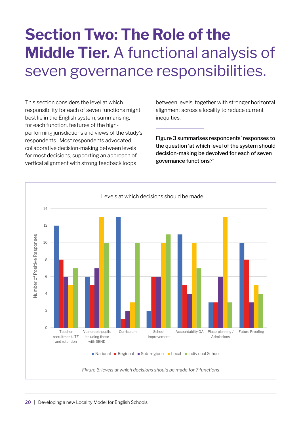### <span id="page-21-0"></span>**Section Two: The Role of the Middle Tier.** A functional analysis of seven governance responsibilities.

This section considers the level at which responsibility for each of seven functions might best lie in the English system, summarising, for each function, features of the highperforming jurisdictions and views of the study's respondents. Most respondents advocated collaborative decision-making between levels for most decisions, supporting an approach of vertical alignment with strong feedback loops

between levels; together with stronger horizontal alignment across a locality to reduce current inequities.

Figure 3 summarises respondents' responses to the question 'at which level of the system should decision-making be devolved for each of seven governance functions?'

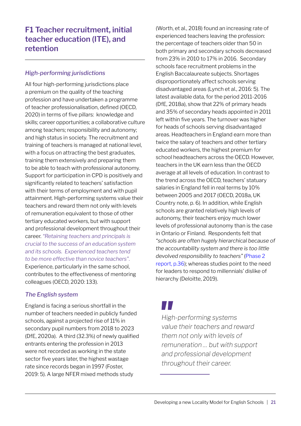#### <span id="page-22-0"></span>**F1 Teacher recruitment, initial teacher education (ITE), and retention**

#### *High-performing jurisdictions*

All four high-performing jurisdictions place a premium on the quality of the teaching profession and have undertaken a programme of teacher professionalisation, defined (OECD, 2020) in terms of five pillars: knowledge and skills; career opportunities; a collaborative culture among teachers; responsibility and autonomy; and high status in society. The recruitment and training of teachers is managed at national level, with a focus on attracting the best graduates, training them extensively and preparing them to be able to teach with professional autonomy. Support for participation in CPD is positively and significantly related to teachers' satisfaction with their terms of employment and with pupil attainment. High-performing systems value their teachers and reward them not only with levels of remuneration equivalent to those of other tertiary educated workers, but with support and professional development throughout their career. *"Retaining teachers and principals is crucial to the success of an education system and its schools. Experienced teachers tend to be more effective than novice teachers"*. Experience, particularly in the same school, contributes to the effectiveness of mentoring colleagues (OECD, 2020: 133).

#### *The English system*

England is facing a serious shortfall in the number of teachers needed in publicly funded schools, against a projected rise of 11% in secondary pupil numbers from 2018 to 2023 (DfE, 2020a). A third (32.3%) of newly qualified entrants entering the profession in 2013 were not recorded as working in the state sector five years later, the highest wastage rate since records began in 1997 (Foster, 2019: 5). A large NFER mixed methods study

(Worth, et al., 2018) found an increasing rate of experienced teachers leaving the profession: the percentage of teachers older than 50 in both primary and secondary schools decreased from 23% in 2010 to 17% in 2016. Secondary schools face recruitment problems in the English Baccalaureate subjects. Shortages disproportionately affect schools serving disadvantaged areas (Lynch et al., 2016: 5). The latest available data, for the period 2011-2016 (DfE, 2018a), show that 22% of primary heads and 35% of secondary heads appointed in 2011 left within five years. The turnover was higher for heads of schools serving disadvantaged areas. Headteachers in England earn more than twice the salary of teachers and other tertiary educated workers, the highest premium for school headteachers across the OECD. However, teachers in the UK earn less than the OECD average at all levels of education. In contrast to the trend across the OECD, teachers' statuary salaries in England fell in real terms by 10% between 2005 and 2017 (OECD, 2018a, UK Country note, p. 6). In addition, while English schools are granted relatively high levels of autonomy, their teachers enjoy much lower levels of professional autonomy than is the case in Ontario or Finland. Respondents felt that *"schools are often hugely hierarchical because of the accountability system and there is too little devolved responsibility to teachers"* ([Phase 2](http://www.belmas.org.uk/write/MediaUploads/Phase_2_Analysis_of_Interviews.pdf#page=26)  [report, p.36](http://www.belmas.org.uk/write/MediaUploads/Phase_2_Analysis_of_Interviews.pdf#page=26)); whereas studies point to the need for leaders to respond to millennials' dislike of hierarchy (Deloitte, 2019).

M J *High-performing systems value their teachers and reward them not only with levels of remuneration … but with support and professional development throughout their career.*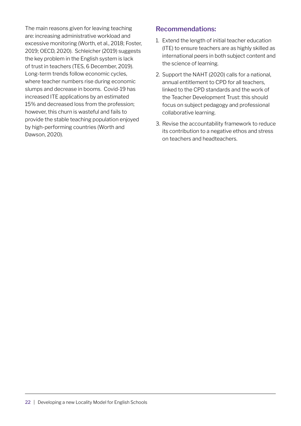The main reasons given for leaving teaching are: increasing administrative workload and excessive monitoring (Worth, et al., 2018; Foster, 2019; OECD, 2020). Schleicher (2019) suggests the key problem in the English system is lack of trust in teachers (TES, 6 December, 2019). Long-term trends follow economic cycles, where teacher numbers rise during economic slumps and decrease in booms. Covid-19 has increased ITE applications by an estimated 15% and decreased loss from the profession; however, this churn is wasteful and fails to provide the stable teaching population enjoyed by high-performing countries (Worth and Dawson, 2020).

#### **Recommendations:**

- 1. Extend the length of initial teacher education (ITE) to ensure teachers are as highly skilled as international peers in both subject content and the science of learning.
- 2. Support the NAHT (2020) calls for a national, annual entitlement to CPD for all teachers, linked to the CPD standards and the work of the Teacher Development Trust: this should focus on subject pedagogy and professional collaborative learning.
- 3. Revise the accountability framework to reduce its contribution to a negative ethos and stress on teachers and headteachers.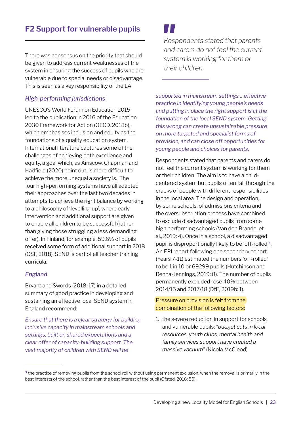<span id="page-24-0"></span>There was consensus on the priority that should be given to address current weaknesses of the system in ensuring the success of pupils who are vulnerable due to special needs or disadvantage. This is seen as a key responsibility of the LA.

#### *High-performing jurisdictions*

UNESCO's World Forum on Education 2015 led to the publication in 2016 of the Education 2030 Framework for Action (OECD, 2018b), which emphasises inclusion and equity as the foundations of a quality education system. International literature captures some of the challenges of achieving both excellence and equity, a goal which, as Ainscow, Chapman and Hadfield (2020) point out, is more difficult to achieve the more unequal a society is. The four high-performing systems have all adapted their approaches over the last two decades in attempts to achieve the right balance by working to a philosophy of 'levelling up', where early intervention and additional support are given to enable all children to be successful (rather than giving those struggling a less demanding offer). In Finland, for example, 59.6% of pupils received some form of additional support in 2018 (OSF, 2018). SEND is part of all teacher training curricula.

#### *England*

Bryant and Swords (2018: 17) in a detailed summary of good practice in developing and sustaining an effective local SEND system in England recommend:

*Ensure that there is a clear strategy for building inclusive capacity in mainstream schools and settings, built on shared expectations and a clear offer of capacity-building support. The vast majority of children with SEND will be* 

*Respondents stated that parents and carers do not feel the current system is working for them or their children.*

*supported in mainstream settings… effective practice in identifying young people's needs and putting in place the right support is at the foundation of the local SEND system. Getting this wrong can create unsustainable pressure on more targeted and specialist forms of provision, and can close off opportunities for young people and choices for parents.*

Respondents stated that parents and carers do not feel the current system is working for them or their children. The aim is to have a childcentered system but pupils often fall through the cracks of people with different responsibilities in the local area. The design and operation, by some schools, of admissions criteria and the oversubscription process have combined to exclude disadvantaged pupils from some high performing schools (Van den Brande, et al., 2019: 4). Once in a school, a disadvantaged pupil is disproportionally likely to be 'off-rolled'4. An EPI report following one secondary cohort (Years 7-11) estimated the numbers 'off-rolled' to be 1 in 10 or 69299 pupils (Hutchinson and Renna-Jennings, 2019: 8). The number of pupils permanently excluded rose 40% between 2014/15 and 2017/18 (DfE, 2019b: 1).

#### Pressure on provision is felt from the combination of the following factors:

1. the severe reduction in support for schools and vulnerable pupils: *"budget cuts in local resources, youth clubs, mental health and family services support have created a massive vacuum"* (Nicola McCleod)

<sup>&</sup>lt;sup>4</sup> the practice of removing pupils from the school roll without using permanent exclusion, when the removal is primarily in the best interests of the school, rather than the best interest of the pupil (Ofsted, 2018: 50).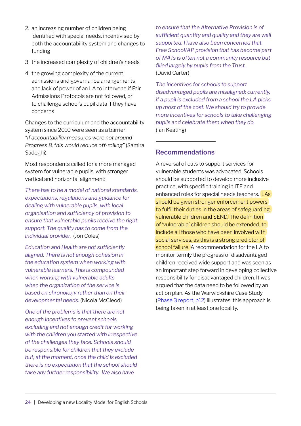- 2. an increasing number of children being identified with special needs, incentivised by both the accountability system and changes to funding
- 3. the increased complexity of children's needs
- 4. the growing complexity of the current admissions and governance arrangements and lack of power of an LA to intervene if Fair Admissions Protocols are not followed, or to challenge school's pupil data if they have concerns

Changes to the curriculum and the accountability system since 2010 were seen as a barrier: *"if accountability measures were not around Progress 8, this would reduce off-rolling"* (Samira Sadeghi).

Most respondents called for a more managed system for vulnerable pupils, with stronger vertical and horizontal alignment:

*There has to be a model of national standards, expectations, regulations and guidance for dealing with vulnerable pupils, with local organisation and sufficiency of provision to ensure that vulnerable pupils receive the right support. The quality has to come from the individual provider.* (Jon Coles)

*Education and Health are not sufficiently aligned. There is not enough cohesion in the education system when working with vulnerable learners. This is compounded when working with vulnerable adults when the organization of the service is based on chronology rather than on their developmental needs.* (Nicola McCleod)

*One of the problems is that there are not enough incentives to prevent schools excluding and not enough credit for working with the children you started with irrespective of the challenges they face. Schools should be responsible for children that they exclude but, at the moment, once the child is excluded there is no expectation that the school should take any further responsibility. We also have* 

*to ensure that the Alternative Provision is of sufficient quantity and quality and they are well supported. I have also been concerned that Free School/AP provision that has become part of MATs is often not a community resource but filled largely by pupils from the Trust.*  (David Carter)

*The incentives for schools to support disadvantaged pupils are misaligned; currently, if a pupil is excluded from a school the LA picks up most of the cost. We should try to provide more incentives for schools to take challenging pupils and celebrate them when they do.*  (Ian Keating)

#### **Recommendations**

A reversal of cuts to support services for vulnerable students was advocated. Schools should be supported to develop more inclusive practice, with specific training in ITE and enhanced roles for special needs teachers. LAs should be given stronger enforcement powers to fulfil their duties in the areas of safeguarding, vulnerable children and SEND. The definition of 'vulnerable' children should be extended, to include all those who have been involved with social services, as this is a strong predictor of school failure. A recommendation for the LA to monitor termly the progress of disadvantaged children received wide support and was seen as an important step forward in developing collective responsibility for disadvantaged children. It was argued that the data need to be followed by an action plan. As the Warwickshire Case Study [\(Phase 3 report, p12\)](http://www.belmas.org.uk/write/MediaUploads/Phase_3_Report_Final_(1).pdf#page=12) illustrates, this approach is being taken in at least one locality.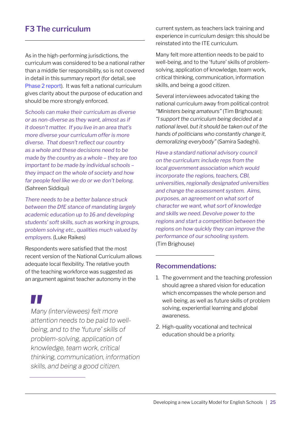### <span id="page-26-0"></span>**F3 The curriculum**

As in the high-performing jurisdictions, the curriculum was considered to be a national rather than a middle tier responsibility, so is not covered in detail in this summary report (for detail, see [Phase 2 report\)](http://www.belmas.org.uk/write/MediaUploads/Phase_2_Analysis_of_Interviews.pdf). It was felt a national curriculum gives clarity about the purpose of education and should be more strongly enforced.

*Schools can make their curriculum as diverse or as non-diverse as they want, almost as if it doesn't matter. If you live in an area that's more diverse your curriculum offer is more diverse. That doesn't reflect our country as a whole and these decisions need to be made by the country as a whole – they are too important to be made by individual schools – they impact on the whole of society and how far people feel like we do or we don't belong.*  (Sahreen Siddiqui)

*There needs to be a better balance struck between the DfE stance of mandating largely academic education up to 16 and developing students' soft skills, such as working in groups, problem solving etc., qualities much valued by employers.* (Luke Raikes)

Respondents were satisfied that the most recent version of the National Curriculum allows adequate local flexibility. The relative youth of the teaching workforce was suggested as an argument against teacher autonomy in the

H I

*Many (interviewees) felt more attention needs to be paid to wellbeing, and to the 'future' skills of problem-solving, application of knowledge, team work, critical thinking, communication, information skills, and being a good citizen.* 

current system, as teachers lack training and experience in curriculum design: this should be reinstated into the ITE curriculum.

Many felt more attention needs to be paid to well-being, and to the 'future' skills of problemsolving, application of knowledge, team work, critical thinking, communication, information skills, and being a good citizen.

Several interviewees advocated taking the national curriculum away from political control: *"Ministers being amateurs"* (Tim Brighouse); *"I support the curriculum being decided at a national level, but it should be taken out of the hands of politicians who constantly change it, demoralizing everybody"* (Samira Sadeghi).

*Have a standard national advisory council on the curriculum: include reps from the local government association which would incorporate the regions, teachers, CBI, universities, regionally designated universities and change the assessment system. Aims, purposes, an agreement on what sort of character we want, what sort of knowledge and skills we need. Devolve power to the regions and start a competition between the regions on how quickly they can improve the performance of our schooling system.*  (Tim Brighouse)

#### **Recommendations:**

- 1. The government and the teaching profession should agree a shared vision for education which encompasses the whole person and well-being, as well as future skills of problem solving, experiential learning and global awareness.
- 2. High-quality vocational and technical education should be a priority.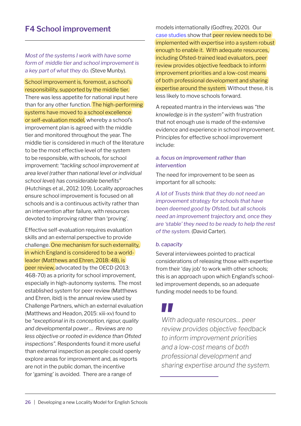### <span id="page-27-0"></span>**F4 School improvement**

*Most of the systems I work with have some form of middle tier and school improvement is a key part of what they do.* (Steve Munby).

School improvement is, foremost, a school's responsibility, supported by the middle tier. There was less appetite for national input here than for any other function. The high-performing systems have moved to a school excellence or self-evaluation model, whereby a school's improvement plan is agreed with the middle tier and monitored throughout the year. The middle tier is considered in much of the literature to be the most effective level of the system to be responsible, with schools, for school improvement: *"tackling school improvement at area level (rather than national level or individual school level) has considerable benefits"* (Hutchings et al., 2012: 109). Locality approaches ensure school improvement is focused on all schools and is a continuous activity rather than an intervention after failure, with resources devoted to improving rather than 'proving'.

Effective self-evaluation requires evaluation skills and an external perspective to provide challenge. One mechanism for such externality, in which England is considered to be a worldleader (Matthews and Ehren, 2018: 48), is peer review, advocated by the OECD (2013: 468-70) as a priority for school improvement, especially in high-autonomy systems. The most established system for peer review (Matthews and Ehren, ibid) is the annual review used by Challenge Partners, which an external evaluation (Matthews and Headon, 2015: xiii-xv) found to be *"exceptional in its conception, rigour, quality and developmental power … Reviews are no less objective or rooted in evidence than Ofsted inspections"*. Respondents found it more useful than external inspection as people could openly explore areas for improvement and, as reports are not in the public doman, the incentive for 'gaming' is avoided. There are a range of

models internationally (Godfrey, 2020). Our [case studies](http://www.belmas.org.uk/write/MediaUploads/Phase_2_Analysis_of_Interviews.pdf) show that peer review needs to be implemented with expertise into a system robust enough to enable it. With adequate resources, including Ofsted-trained lead evaluators, peer review provides objective feedback to inform improvement priorities and a low-cost means of both professional development and sharing expertise around the system. Without these, it is less likely to move schools forward.

A repeated mantra in the interviews was *"the knowledge is in the system"* with frustration that not enough use is made of the extensive evidence and experience in school improvement. Principles for effective school improvement include:

#### *a. focus on improvement rather than intervention*

The need for improvement to be seen as important for all schools:

*A lot of Trusts think that they do not need an improvement strategy for schools that have been deemed good by Ofsted, but all schools need an improvement trajectory and, once they are 'stable' they need to be ready to help the rest of the system.* (David Carter).

#### *b. capacity*

Several interviewees pointed to practical considerations of releasing those with expertise from their 'day job' to work with other schools; this is an approach upon which England's schoolled improvement depends, so an adequate funding model needs to be found.

### H I

*With adequate resources… peer review provides objective feedback to inform improvement priorities and a low-cost means of both professional development and sharing expertise around the system.*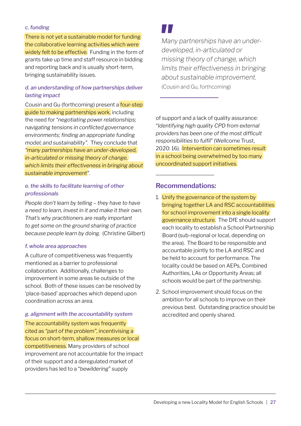#### *c. funding*

There is not yet a sustainable model for funding the collaborative learning activities which were widely felt to be effective. Funding in the form of grants take up time and staff resource in bidding and reporting back and is usually short-term, bringing sustainability issues.

#### *d. an understanding of how partnerships deliver lasting impact*

Cousin and Gu (forthcoming) present a **four-step** guide to making partnerships work, including the need for *"negotiating power relationships; navigating tensions in conflicted governance environments; finding an appropriate funding model; and sustainability".* They conclude that *"many partnerships have an under-developed, in-articulated or missing theory of change, which limits their effectiveness in bringing about sustainable improvement"*.

#### *e. the skills to facilitate learning of other professionals*

*People don't learn by telling – they have to have a need to learn, invest in it and make it their own. That's why practitioners are really important to get some on the ground sharing of practice because people learn by doing.* (Christine Gilbert)

#### *f. whole area approaches*

A culture of competitiveness was frequently mentioned as a barrier to professional collaboration. Additionally, challenges to improvement in some areas lie outside of the school. Both of these issues can be resolved by 'place-based' approaches which depend upon coordination across an area.

#### *g. alignment with the accountability system*

The accountability system was frequently cited as *"part of the problem"*, incentivising a focus on short-term, shallow measures or local competitiveness. Many providers of school improvement are not accountable for the impact of their support and a deregulated market of providers has led to a "*bewildering*" supply

*Many partnerships have an underdeveloped, in-articulated or missing theory of change, which limits their effectiveness in bringing about sustainable improvement.*  (Cousin and Gu, forthcoming)

of support and a lack of quality assurance: "*Identifying high quality CPD from external providers has been one of the most difficult responsibilities to fulfil*" (Wellcome Trust, 2020: 16). Intervention can sometimes result in a school being overwhelmed by too many uncoordinated support initiatives.

#### **Recommendations:**

- 1. Unify the governance of the system by bringing together LA and RSC accountabilities for school improvement into a single locality governance structure. The DfE should support each locality to establish a School Partnership Board (sub-regional or local, depending on the area). The Board to be responsible and accountable jointly to the LA and RSC and be held to account for performance. The locality could be based on AEPs, Combined Authorities, LAs or Opportunity Areas; all schools would be part of the partnership.
- 2. School improvement should focus on the ambition for all schools to improve on their previous best. Outstanding practice should be accredited and openly shared.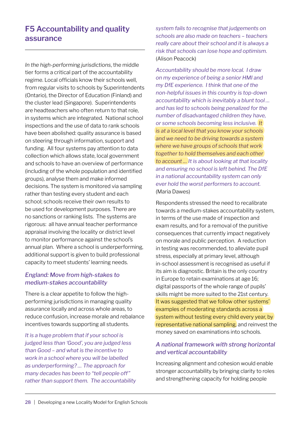### <span id="page-29-0"></span>**F5 Accountability and quality assurance**

*In the high-performing jurisdictions*, the middle tier forms a critical part of the accountability regime. Local officials know their schools well, from regular visits to schools by Superintendents (Ontario), the Director of Education (Finland) and the cluster lead (Singapore). Superintendents are headteachers who often return to that role, in systems which are integrated. National school inspections and the use of data to rank schools have been abolished: quality assurance is based on steering through information, support and funding. All four systems pay attention to data collection which allows state, local government and schools to have an overview of performance (including of the whole population and identified groups), analyse them and make informed decisions. The system is monitored via sampling rather than testing every student and each school; schools receive their own results to be used for development purposes. There are no sanctions or ranking lists. The systems are rigorous: all have annual teacher performance appraisal involving the locality or district level to monitor performance against the school's annual plan. Where a school is underperforming, additional support is given to build professional capacity to meet students' learning needs.

#### *England: Move from high-stakes to medium-stakes accountability*

There is a clear appetite to follow the highperforming jurisdictions in managing quality assurance locally and across whole areas, to reduce confusion, increase morale and rebalance incentives towards supporting all students.

*It is a huge problem that if your school is judged less than 'Good', you are judged less than Good – and what is the incentive to work in a school where you will be labelled as underperforming? … The approach for many decades has been to "tell people off" rather than support them. The accountability*  *system fails to recognise that judgements on schools are also made on teachers – teachers really care about their school and it is always a risk that schools can lose hope and optimism.*  (Alison Peacock)

*Accountability should be more local. I draw on my experience of being a senior HMI and my DfE experience. I think that one of the non-helpful issues in this country is top-down accountability which is inevitably a blunt tool … and has led to schools being penalized for the number of disadvantaged children they have, or some schools becoming less inclusive. It is at a local level that you know your schools and we need to be driving towards a system where we have groups of schools that work together to hold themselves and each other to account … It is about looking at that locality and ensuring no school is left behind. The DfE in a national accountability system can only ever hold the worst performers to account.*  (Maria Dawes)

Respondents stressed the need to recalibrate towards a medium-stakes accountability system, in terms of the use made of inspection and exam results, and for a removal of the punitive consequences that currently impact negatively on morale and public perception. A reduction in testing was recommended, to alleviate pupil stress, especially at primary level, although in-school assessment is recognised as useful if its aim is diagnostic. Britain is the only country in Europe to retain examinations at age 16; digital passports of the whole range of pupils' skills might be more suited to the 21st century. It was suggested that we follow other systems' examples of moderating standards across a system without testing every child every year, by representative national sampling, and reinvest the money saved on examinations into schools.

#### *A national framework with strong horizontal and vertical accountability*

Increasing alignment and cohesion would enable stronger accountability by bringing clarity to roles and strengthening capacity for holding people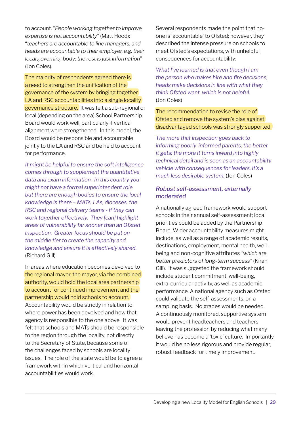to account. "*People working together to improve expertise is not accountability*" (Matt Hood); "*teachers are accountable to line managers, and heads are accountable to their employer, e.g. their local governing body; the rest is just information*" (Jon Coles).

The majority of respondents agreed there is a need to strengthen the unification of the governance of the system by bringing together LA and RSC accountabilities into a single locality governance structure. It was felt a sub-regional or local (depending on the area) School Partnership Board would work well, particularly if vertical alignment were strengthened. In this model, the Board would be responsible and accountable jointly to the LA and RSC and be held to account for performance.

*It might be helpful to ensure the soft intelligence comes through to supplement the quantitative data and exam information. In this country you might not have a formal superintendent role but there are enough bodies to ensure the local knowledge is there – MATs, LAs, dioceses, the RSC and regional delivery teams - if they can work together effectively. They [can] highlight areas of vulnerability far sooner than an Ofsted inspection. Greater focus should be put on the middle tier to create the capacity and knowledge and ensure it is effectively shared.*  (Richard Gill)

In areas where education becomes devolved to the regional mayor, the mayor, via the combined authority, would hold the local area partnership to account for continued improvement and the partnership would hold schools to account. Accountability would be strictly in relation to where power has been devolved and how that agency is responsible to the one above. It was felt that schools and MATs should be responsible to the region through the locality, not directly to the Secretary of State, because some of the challenges faced by schools are locality issues. The role of the state would be to agree a framework within which vertical and horizontal accountabilities would work.

Several respondents made the point that noone is 'accountable' to Ofsted; however, they described the intense pressure on schools to meet Ofsted's expectations, with unhelpful consequences for accountability:

*What I've learned is that even though I am the person who makes hire and fire decisions, heads make decisions in line with what they think Ofsted want, which is not helpful.*  (Jon Coles)

The recommendation to revise the role of Ofsted and remove the system's bias against disadvantaged schools was strongly supported.

*The more that inspection goes back to informing poorly-informed parents, the better it gets; the more it turns inward into highly technical detail and is seen as an accountability vehicle with consequences for leaders, it's a much less desirable system.* (Jon Coles)

#### *Robust self-assessment, externally moderated*

A nationally agreed framework would support schools in their annual self-assessment; local priorities could be added by the Partnership Board. Wider accountability measures might include, as well as a range of academic results, destinations, employment, mental health, wellbeing and non-cognitive attributes *"which are better predictors of long-term success"* (Kiran Gill). It was suggested the framework should include student commitment, well-being, extra-curricular activity, as well as academic performance. A national agency such as Ofsted could validate the self-assessments, on a sampling basis. No grades would be needed. A continuously monitored, supportive system would prevent headteachers and teachers leaving the profession by reducing what many believe has become a 'toxic' culture. Importantly, it would be no less rigorous and provide regular, robust feedback for timely improvement.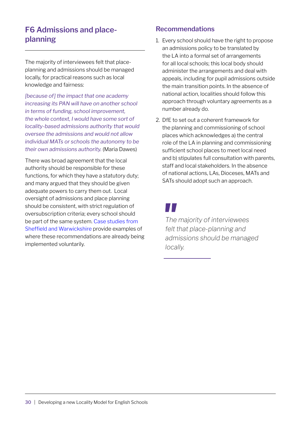#### <span id="page-31-0"></span>**F6 Admissions and placeplanning**

The majority of interviewees felt that placeplanning and admissions should be managed locally, for practical reasons such as local knowledge and fairness:

*[because of] the impact that one academy increasing its PAN will have on another school in terms of funding, school improvement, the whole context, I would have some sort of locality-based admissions authority that would oversee the admissions and would not allow individual MATs or schools the autonomy to be their own admissions authority.* (Maria Dawes)

There was broad agreement that the local authority should be responsible for these functions, for which they have a statutory duty; and many argued that they should be given adequate powers to carry them out. Local oversight of admissions and place planning should be consistent, with strict regulation of oversubscription criteria; every school should be part of the same system. [Case studies from](http://www.belmas.org.uk/write/MediaUploads/Phase_3_Report_Final_(1).pdf)  [Sheffield and Warwickshire](http://www.belmas.org.uk/write/MediaUploads/Phase_3_Report_Final_(1).pdf) provide examples of where these recommendations are already being implemented voluntarily.

#### **Recommendations**

- 1. Every school should have the right to propose an admissions policy to be translated by the LA into a formal set of arrangements for all local schools; this local body should administer the arrangements and deal with appeals, including for pupil admissions outside the main transition points. In the absence of national action, localities should follow this approach through voluntary agreements as a number already do.
- 2. DfE to set out a coherent framework for the planning and commissioning of school places which acknowledges a) the central role of the LA in planning and commissioning sufficient school places to meet local need and b) stipulates full consultation with parents, staff and local stakeholders. In the absence of national actions, LAs, Dioceses, MATs and SATs should adopt such an approach.

*The majority of interviewees felt that place-planning and admissions should be managed locally.*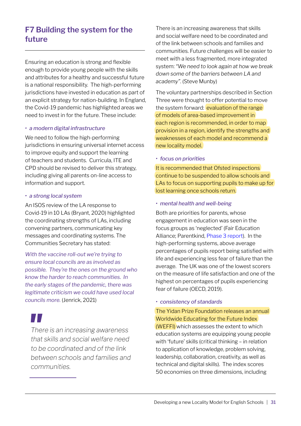### <span id="page-32-0"></span>**F7 Building the system for the future**

Ensuring an education is strong and flexible enough to provide young people with the skills and attributes for a healthy and successful future is a national responsibility. The high-performing jurisdictions have invested in education as part of an explicit strategy for nation-building. In England, the Covid-19 pandemic has highlighted areas we need to invest in for the future. These include:

#### *• a modern digital infrastructure*

We need to follow the high-performing jurisdictions in ensuring universal internet access to improve equity and support the learning of teachers and students. Curricula, ITE and CPD should be revised to deliver this strategy, including giving all parents on-line access to information and support.

#### *• a strong local system*

An ISOS review of the LA response to Covid-19 in 10 LAs (Bryant, 2020) highlighted the coordinating strengths of LAs, including convening partners, communicating key messages and coordinating systems. The Communities Secretary has stated:

*With the vaccine roll-out we're trying to ensure local councils are as involved as possible. They're the ones on the ground who know the harder to reach communities. In the early stages of the pandemic, there was legitimate criticism we could have used local councils more.* (Jenrick, 2021)

*There is an increasing awareness that skills and social welfare need to be coordinated and of the link between schools and families and communities.* 

There is an increasing awareness that skills and social welfare need to be coordinated and of the link between schools and families and communities. Future challenges will be easier to meet with a less fragmented, more integrated system: *"We need to look again at how we break down some of the barriers between LA and academy"*. (Steve Munby)

The voluntary partnerships described in Section Three were thought to offer potential to move the system forward: evaluation of the range of models of area-based improvement in each region is recommended, in order to map provision in a region, identify the strengths and weaknesses of each model and recommend a new locality model.

#### *• focus on priorities*

It is recommended that Ofsted inspections continue to be suspended to allow schools and LAs to focus on supporting pupils to make up for lost learning once schools return.

#### *• mental health and well-being*

Both are priorities for parents, whose engagement in education was seen in the focus groups as 'neglected' (Fair Education Alliance; Parentkind, [Phase 3 report](http://www.belmas.org.uk/write/MediaUploads/Phase_3_Report_Final_(1).pdf)). In the high-performing systems, above average percentages of pupils report being satisfied with life and experiencing less fear of failure than the average. The UK was one of the lowest scorers on the measure of life satisfaction and one of the highest on percentages of pupils experiencing fear of failure (OECD, 2019).

#### *• consistency of standards*

The Yidan Prize Foundation releases an annual Worldwide Educating for the Future Index (WEFFI) which assesses the extent to which education systems are equipping young people with 'future' skills (critical thinking – in relation to application of knowledge, problem solving, leadership, collaboration, creativity, as well as technical and digital skills). The index scores 50 economies on three dimensions, including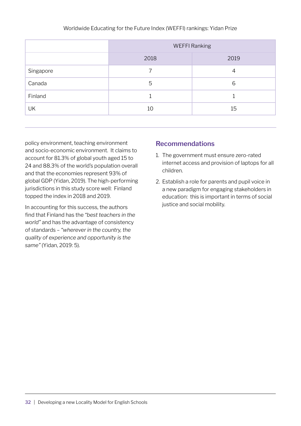|           | <b>WEFFI Ranking</b> |      |  |
|-----------|----------------------|------|--|
|           | 2018                 | 2019 |  |
| Singapore |                      | 4    |  |
| Canada    | 5                    | 6    |  |
| Finland   |                      |      |  |
| UK        | 10                   | 15   |  |

policy environment, teaching environment and socio-economic environment. It claims to account for 81.3% of global youth aged 15 to 24 and 88.3% of the world's population overall and that the economies represent 93% of global GDP (Yidan, 2019). The high-performing jurisdictions in this study score well: Finland topped the index in 2018 and 2019.

In accounting for this success, the authors find that Finland has the *"best teachers in the world"* and has the advantage of consistency of standards – *"wherever in the country, the quality of experience and opportunity is the same"* (Yidan, 2019: 5).

#### **Recommendations**

- 1. The government must ensure zero-rated internet access and provision of laptops for all children.
- 2. Establish a role for parents and pupil voice in a new paradigm for engaging stakeholders in education: this is important in terms of social justice and social mobility.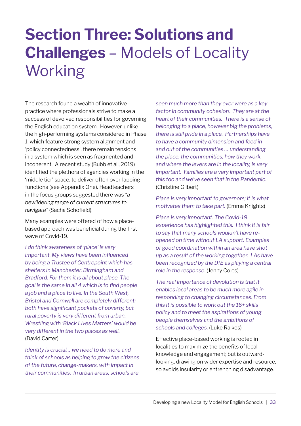### <span id="page-34-0"></span>**Section Three: Solutions and Challenges** – Models of Locality Working

The research found a wealth of innovative practice where professionals strive to make a success of devolved responsibilities for governing the English education system. However, unlike the high-performing systems considered in Phase 1, which feature strong system alignment and 'policy connectedness', there remain tensions in a system which is seen as fragmented and incoherent. A recent study (Bubb et al., 2019) identified the plethora of agencies working in the 'middle tier' space, to deliver often over-lapping functions (see Appendix One). Headteachers in the focus groups suggested there was *"a bewildering range of current structures to navigate"* (Sacha Schofield).

Many examples were offered of how a placebased approach was beneficial during the first wave of Covid-19.

*I do think awareness of 'place' is very important. My views have been influenced by being a Trustee of Centrepoint which has shelters in Manchester, Birmingham and Bradford. For them it is all about place. The goal is the same in all 4 which is to find people a job and a place to live. In the South West, Bristol and Cornwall are completely different: both have significant pockets of poverty, but rural poverty is very different from urban. Wrestling with 'Black Lives Matters' would be very different in the two places as well.*  (David Carter)

*Identity is crucial… we need to do more and think of schools as helping to grow the citizens of the future, change-makers, with impact in their communities. In urban areas, schools are* 

*seen much more than they ever were as a key factor in community cohesion. They are at the heart of their communities. There is a sense of belonging to a place, however big the problems, there is still pride in a place. Partnerships have to have a community dimension and feed in and out of the communities … understanding the place, the communities, how they work, and where the levers are in the locality, is very important. Families are a very important part of this too and we've seen that in the Pandemic.*  (Christine Gilbert)

*Place is very important to governors; it is what motivates them to take part.* (Emma Knights)

*Place is very important. The Covid-19 experience has highlighted this. I think it is fair to say that many schools wouldn't have reopened on time without LA support. Examples of good coordination within an area have shot up as a result of the working together. LAs have been recognized by the DfE as playing a central role in the response.* (Jenny Coles)

*The real importance of devolution is that it enables local areas to be much more agile in responding to changing circumstances. From this it is possible to work out the 16+ skills policy and to meet the aspirations of young people themselves and the ambitions of schools and colleges.* (Luke Raikes)

Effective place-based working is rooted in localities to maximize the benefits of local knowledge and engagement; but is outwardlooking, drawing on wider expertise and resource, so avoids insularity or entrenching disadvantage.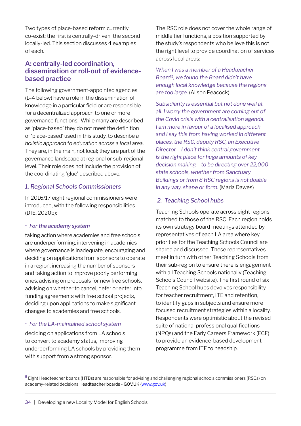Two types of place-based reform currently co-exist: the first is centrally-driven; the second locally-led. This section discusses 4 examples of each.

#### **A: centrally-led coordination, dissemination or roll-out of evidencebased practice**

The following government-appointed agencies (1–4 below) have a role in the dissemination of knowledge in a particular field or are responsible for a decentralized approach to one or more governance functions. While many are described as 'place-based' they do not meet the definition of 'place-based' used in this study, to describe *a holistic approach to education across a local area*. They are, in the main, not local; they are part of the governance landscape at regional or sub-regional level. Their role does not include the provision of the coordinating 'glue' described above.

#### *1. Regional Schools Commissioners*

In 2016/17 eight regional commissioners were introduced, with the following responsibilities (DfE, 2020b):

#### *• For the academy system*

taking action where academies and free schools are underperforming, intervening in academies where governance is inadequate, encouraging and deciding on applications from sponsors to operate in a region, increasing the number of sponsors and taking action to improve poorly performing ones, advising on proposals for new free schools, advising on whether to cancel, defer or enter into funding agreements with free school projects, deciding upon applications to make significant changes to academies and free schools.

#### *• For the LA-maintained school system*

deciding on applications from LA schools to convert to academy status, improving underperforming LA schools by providing them with support from a strong sponsor.

The RSC role does not cover the whole range of middle tier functions, a position supported by the study's respondents who believe this is not the right level to provide coordination of services across local areas:

*When I was a member of a Headteacher Board* <sup>5</sup>*, we found the Board didn't have enough local knowledge because the regions are too large.* (Alison Peacock)

*Subsidiarity is essential but not done well at all. I worry the government are coming out of the Covid crisis with a centralisation agenda. I am more in favour of a localised approach and I say this from having worked in different places, the RSC, deputy RSC, an Executive Director – I don't think central government is the right place for huge amounts of key decision making – to be directing over 22,000 state schools, whether from Sanctuary Buildings or from 8 RSC regions is not doable in any way, shape or form.* (Maria Dawes)

#### *2. Teaching School hubs*

Teaching Schools operate across eight regions, matched to those of the RSC. Each region holds its own strategy board meetings attended by representatives of each LA area where key priorities for the Teaching Schools Council are shared and discussed. These representatives meet in turn with other Teaching Schools from their sub-region to ensure there is engagement with all Teaching Schools nationally (Teaching Schools Council website). The first round of six Teaching School hubs devolves responsibility for teacher recruitment, ITE and retention, to identify gaps in subjects and ensure more focused recruitment strategies within a locality. Respondents were optimistic about the revised suite of national professional qualifications (NPQs) and the Early Careers Framework (ECF) to provide an evidence-based development programme from ITE to headship.

<sup>&</sup>lt;sup>5</sup> Eight Headteacher boards (HTBs) are responsible for advising and challenging regional schools commissioners (RSCs) on academy-related decisions Headteacher boards - GOV.UK (www.gov.uk)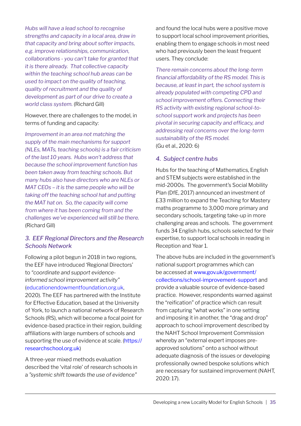*Hubs will have a lead school to recognise strengths and capacity in a local area, draw in that capacity and bring about softer impacts, e.g. improve relationships, communication, collaborations - you can't take for granted that it is there already. That collective capacity within the teaching school hub areas can be used to impact on the quality of teaching, quality of recruitment and the quality of development as part of our drive to create a world class system.* (Richard Gill)

However, there are challenges to the model, in terms of funding and capacity:

*Improvement in an area not matching the supply of the main mechanisms for support (NLEs, MATs, teaching schools) is a fair criticism of the last 10 years. Hubs won't address that because the school improvement function has been taken away from teaching schools. But many hubs also have directors who are NLEs or MAT CEOs – it is the same people who will be taking off the teaching school hat and putting the MAT hat on. So, the capacity will come from where it has been coming from and the challenges we've experienced will still be there.*  (Richard Gill)

#### *3. EEF Regional Directors and the Research Schools Network*

Following a pilot begun in 2018 in two regions, the EEF have introduced 'Regional Directors' to *"coordinate and support evidenceinformed school improvement activity"*  ([educationendowmentfoundation.org.uk](http://educationendowmentfoundation.org.uk), 2020). The EEF has partnered with the Institute for Effective Education, based at the University of York, to launch a national network of Research Schools (RS), which will become a focal point for evidence-based practice in their region, building affiliations with large numbers of schools and supporting the use of evidence at scale. ([https://](https://researchschool.org.uk) [researchschool.org.uk](https://researchschool.org.uk))

A three-year mixed methods evaluation described the 'vital role' of research schools in a *"systemic shift towards the use of evidence"*

and found the local hubs were a positive move to support local school improvement priorities, enabling them to engage schools in most need who had previously been the least frequent users. They conclude:

*There remain concerns about the long-term financial affordability of the RS model. This is because, at least in part, the school system is already populated with competing CPD and school improvement offers. Connecting their RS activity with existing regional school-toschool support work and projects has been pivotal in securing capacity and efficacy, and addressing real concerns over the long-term sustainability of the RS model.*  (Gu et al., 2020: 6)

#### *4. Subject centre hubs*

Hubs for the teaching of Mathematics, English and STEM subjects were established in the mid-2000s. The government's Social Mobility Plan (DfE, 2017) announced an investment of £33 million to expand the Teaching for Mastery maths programme to 3,000 more primary and secondary schools, targeting take-up in more challenging areas and schools. The government funds 34 English hubs, schools selected for their expertise, to support local schools in reading in Reception and Year 1.

The above hubs are included in the government's national support programmes which can be accessed at [www.gov.uk/government/](http://www.gov.uk/government/collections/school-improvement-support) [collections/school-improvement-support](http://www.gov.uk/government/collections/school-improvement-support) and provide a valuable source of evidence-based practice. However, respondents warned against the "reification" of practice which can result from capturing "what works" in one setting and imposing it in another, the "drag and drop" approach to school improvement described by the NAHT School Improvement Commission whereby an "external expert imposes preapproved solutions" onto a school without adequate diagnosis of the issues or developing professionally owned bespoke solutions which are necessary for sustained improvement (NAHT, 2020: 17).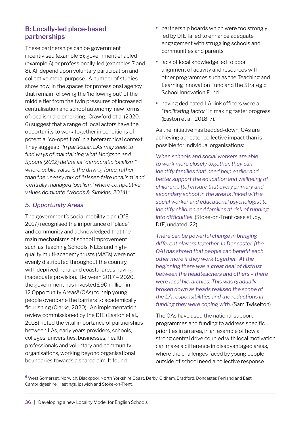#### **B: Locally-led place-based partnerships**

These partnerships can be government incentivised (example 5); government enabled (example 6) or professionally-led (examples 7 and 8). All depend upon voluntary participation and collective moral purpose. A number of studies show how, in the spaces for professional agency that remain following the 'hollowing out' of the middle tier from the twin pressures of increased centralisation and school autonomy, new forms of localism are emerging. Crawford et al (2020: 6) suggest that a range of local actors have the opportunity to work together in conditions of potential 'co-opetition' in a heterarchical context. They suggest: *"In particular, LAs may seek to find ways of maintaining what Hodgson and Spours (2012) define as "democratic localism" where public value is the driving force, rather than the uneasy mix of 'laissez-faire localism' and 'centrally managed localism' where competitive values dominate (Woods & Simkins, 2014)."*

#### *5. Opportunity Areas*

The government's social mobility plan (DfE, 2017) recognised the importance of 'place' and community and acknowledged that the main mechanisms of school improvement such as Teaching Schools, NLEs and highquality multi-academy trusts (MATs) were not evenly distributed throughout the country, with deprived, rural and coastal areas having inadequate provision. Between 2017 – 2020, the government has invested £90 million in 12 Opportunity Areas $6$  (OAs) to help young people overcome the barriers to academically flourishing (Clarke, 2020). An implementation review commissioned by the DfE (Easton et al., 2018) noted the vital importance of partnerships between LAs, early years providers, schools, colleges, universities, businesses, health professionals and voluntary and community organisations, working beyond organisational boundaries towards a shared aim. It found:

- **•** partnership boards which were too strongly led by DfE failed to enhance adequate engagement with struggling schools and communities and parents
- **•** lack of local knowledge led to poor alignment of activity and resources with other programmes such as the Teaching and Learning Innovation Fund and the Strategic School Innovation Fund
- **•** having dedicated LA-link officers were a *"facilitating factor"* in making faster progress (Easton et al., 2018: 7).

As the initiative has bedded-down, OAs are achieving a greater collective impact than is possible for individual organisations:

*When schools and social workers are able to work more closely together, they can identify families that need help earlier and better support the education and wellbeing of children… [to] ensure that every primary and secondary school in the area is linked with a social worker and educational psychologist to identify children and families at risk of running into difficulties.* (Stoke-on-Trent case study, DfE, undated: 22)

*There can be powerful change in bringing different players together. In Doncaster, [the OA] has shown that people can benefit each other more if they work together. At the beginning there was a great deal of distrust between the headteachers and others – there were local hierarchies. This was gradually broken down as heads realised the scope of the LA responsibilities and the reductions in funding they were coping with.* (Sam Twiselton)

The OAs have used the national support programmes and funding to address specific priorities in an area, in an example of how a strong central drive coupled with local motivation can make a difference in disadvantaged areas, where the challenges faced by young people outside of school need a collective response

<sup>6</sup> West Somerset, Norwich, Blackpool, North Yorkshire Coast, Derby, Oldham, Bradford, Doncaster, Fenland and East Cambridgeshire, Hastings, Ipswich and Stoke-on-Trent.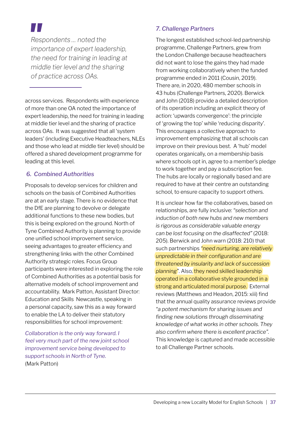*Respondents … noted the importance of expert leadership, the need for training in leading at middle tier level and the sharing of practice across OAs.* 

across services. Respondents with experience of more than one OA noted the importance of expert leadership, the need for training in leading at middle tier level and the sharing of practice across OAs. It was suggested that all 'system leaders' (including Executive Headteachers, NLEs and those who lead at middle tier level) should be offered a shared development programme for leading at this level.

#### *6. Combined Authorities*

Proposals to develop services for children and schools on the basis of Combined Authorities are at an early stage. There is no evidence that the DfE are planning to devolve or delegate additional functions to these new bodies, but this is being explored on the ground. North of Tyne Combined Authority is planning to provide one unified school improvement service, seeing advantages to greater efficiency and strengthening links with the other Combined Authority strategic roles. Focus Group participants were interested in exploring the role of Combined Authorities as a potential basis for alternative models of school improvement and accountability. Mark Patton, Assistant Director: Education and Skills Newcastle, speaking in a personal capacity, saw this as a way forward to enable the LA to deliver their statutory responsibilities for school improvement:

*Collaboration is the only way forward. I feel very much part of the new joint school improvement service being developed to support schools in North of Tyne.*  (Mark Patton)

#### *7. Challenge Partners*

The longest established school-led partnership programme, Challenge Partners, grew from the London Challenge because headteachers did not want to lose the gains they had made from working collaboratively when the funded programme ended in 2011 (Cousin, 2019). There are, in 2020, 480 member schools in 43 hubs (Challenge Partners, 2020). Berwick and John (2018) provide a detailed description of its operation including an explicit theory of action: 'upwards convergence': the principle of 'growing the top' while 'reducing disparity'. This encourages a collective approach to improvement emphasizing that all schools can improve on their previous best. A 'hub' model operates organically, on a membership basis where schools opt in, agree to a member's pledge to work together and pay a subscription fee. The hubs are locally or regionally based and are required to have at their centre an outstanding school, to ensure capacity to support others.

It is unclear how far the collaboratives, based on relationships, are fully inclusive: *"selection and induction of both new hubs and new members is rigorous as considerable valuable energy can be lost focusing on the disaffected"* (2018: 205). Berwick and John warn (2018: 210) that such partnerships *"need nurturing, are relatively unpredictable in their configuration and are threatened by insularity and lack of succession planning"*. Also, they need skilled leadership operated in a collaborative style grounded in a strong and articulated moral purpose. External reviews (Matthews and Headon, 2015: xiii) find that the annual quality assurance reviews provide *"a potent mechanism for sharing issues and finding new solutions through disseminating knowledge of what works in other schools. They also confirm where there is excellent practice".*  This knowledge is captured and made accessible to all Challenge Partner schools.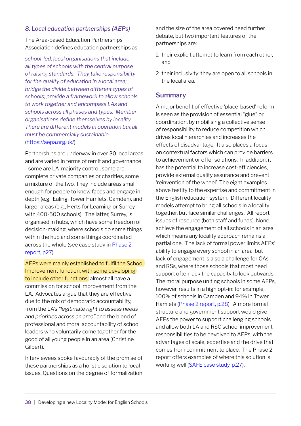#### *8. Local education partnerships (AEPs)*

The Area-based Education Partnerships Association defines education partnerships as:

*school-led, local organisations that include all types of schools with the central purpose of raising standards. They take responsibility for the quality of education in a local area; bridge the divide between different types of schools; provide a framework to allow schools to work together and encompass LAs and schools across all phases and types. Member organisations define themselves by locality. There are different models in operation but all must be commercially sustainable.*  (<https://aepa.org.uk/>)

Partnerships are underway in over 30 local areas and are varied in terms of remit and governance - some are LA-majority control, some are complete private companies or charities, some a mixture of the two. They include areas small enough for people to know faces and engage in depth (e.g. Ealing, Tower Hamlets, Camden), and larger areas (e.g., Herts for Learning or Surrey with 400-500 schools). The latter, Surrey, is organised in hubs, which have some freedom of decision-making, where schools do some things within the hub and some things coordinated across the whole (see case study in [Phase 2](http://www.belmas.org.uk/write/MediaUploads/Phase_2_Analysis_of_Interviews.pdf#page=27) [report, p27\)](http://www.belmas.org.uk/write/MediaUploads/Phase_2_Analysis_of_Interviews.pdf).

AEPs were mainly established to fulfil the School Improvement function, with some developing to include other functions; almost all have a commission for school improvement from the LA. Advocates argue that they are effective due to the mix of democratic accountability, from the LA's *"legitimate right to assess needs and priorities across an area"* and the blend of professional and moral accountability of school leaders who voluntarily come together for the good of all young people in an area (Christine Gilbert).

Interviewees spoke favourably of the promise of these partnerships as a holistic solution to local issues. Questions on the degree of formalization

and the size of the area covered need further debate, but two important features of the partnerships are:

- 1. their explicit attempt to learn from each other, and
- 2. their inclusivity: they are open to all schools in the local area.

#### **Summary**

A major benefit of effective 'place-based' reform is seen as the provision of essential "glue" or coordination, by mobilising a collective sense of responsibility to reduce competition which drives local hierarchies and increases the effects of disadvantage. It also places a focus on contextual factors which can provide barriers to achievement or offer solutions. In addition, it has the potential to increase cost-efficiencies, provide external quality assurance and prevent 'reinvention of the wheel'. The eight examples above testify to the expertise and commitment in the English education system. Different locality models attempt to bring all schools in a locality together, but face similar challenges. All report issues of resource (both staff and funds). None achieve the engagement of all schools in an area, which means any locality approach remains a partial one. The lack of formal power limits AEPs' ability to engage every school in an area, but lack of engagement is also a challenge for OAs and RSs, where those schools that most need support often lack the capacity to look outwards. The moral purpose uniting schools in some AEPs, however, results in a high opt-in: for example, 100% of schools in Camden and 94% in Tower Hamlets ([Phase 2 report, p.28](http://www.belmas.org.uk/write/MediaUploads/Phase_2_Analysis_of_Interviews.pdf#page=28)). A more formal structure and government support would give AEPs the power to support challenging schools and allow both LA and RSC school improvement responsibilities to be devolved to AEPs, with the advantages of scale, expertise and the drive that comes from commitment to place. The Phase 2 report offers examples of where this solution is working well ([SAFE case study](http://www.belmas.org.uk/write/MediaUploads/Phase_2_Analysis_of_Interviews.pdf#page=27), p.27).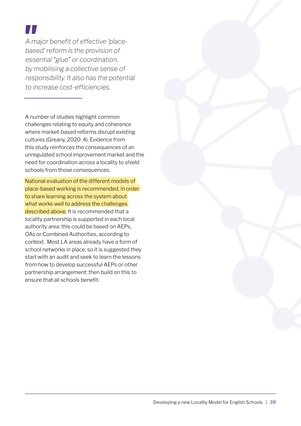*A major benefit of effective 'placebased' reform is the provision of essential "glue" or coordination, by mobilising a collective sense of responsibility. It also has the potential to increase cost-efficiencies.* 

A number of studies highlight common challenges relating to equity and coherence where market-based reforms disrupt existing cultures (Greany, 2020: 4). Evidence from this study reinforces the consequences of an unregulated school improvement market and the need for coordination across a locality to shield schools from those consequences.

National evaluation of the different models of place-based working is recommended, in order to share learning across the system about what works well to address the challenges described above. It is recommended that a locality partnership is supported in each local authority area: this could be based on AEPs, OAs or Combined Authorities, according to context. Most LA areas already have a form of school networks in place, so it is suggested they start with an audit and seek to learn the lessons from how to develop successful AEPs or other partnership arrangement: then build on this to ensure that all schools benefit.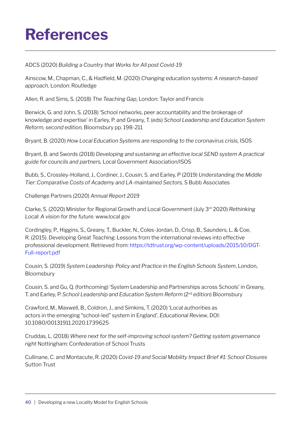### <span id="page-41-0"></span>**References**

ADCS (2020) *Building a Country that Works for All post Covid-19*

Ainscow, M., Chapman, C., & Hadfield, M. (2020) *Changing education systems: A research-based approach,* London: Routledge

Allen, R. and Sims, S. (2018) *The Teaching Gap*, London: Taylor and Francis

Berwick, G. and John, S. (2018) 'School networks, peer accountability and the brokerage of knowledge and expertise' in Earley, P. and Greany, T. (eds) *School Leadership and Education System Reform, second edition,* Bloomsbury pp. 198-211

Bryant, B. (2020) *How Local Education Systems are responding to the coronavirus crisis*, ISOS

Bryant, B. and Swords (2018) *Developing and sustaining an effective local SEND system A practical guide for councils and partners,* Local Government Association/ISOS

Bubb, S., Crossley-Holland, J., Cordiner, J., Cousin, S. and Earley, P (2019) *Understanding the Middle Tier: Comparative Costs of Academy and LA-maintained Sectors,* S Bubb Associates

Challenge Partners (2020) *Annual Report 2019*

Clarke, S. (2020) Minister for Regional Growth and Local Government (July 3rd 2020) *Rethinking Local: A vision for the future*. www.local gov

Cordingley, P., Higgins, S., Greany, T., Buckler, N., Coles-Jordan, D., Crisp, B., Saunders, L. & Coe, R. (2015). Developing Great Teaching: Lessons from the international reviews into effective professional development. Retrieved from: [https://tdtrust.org/wp-content/uploads/2015/10/DGT-](https://tdtrust.org/wp-content/uploads/2015/10/DGT-Full-report.pdf)[Full-report.pdf](https://tdtrust.org/wp-content/uploads/2015/10/DGT-Full-report.pdf)

Cousin, S. (2019) *System Leadership: Policy and Practice in the English Schools System*, London, Bloomsbury

Cousin, S. and Gu, Q. (forthcoming) 'System Leadership and Partnerships across Schools' in Greany, T. and Earley, P. *School Leadership and Education System Reform* (2nd edition) Bloomsbury

Crawford, M., Maxwell, B., Coldron, J., and Simkins, T. (2020) 'Local authorities as actors in the emerging "school-led" system in England', *Educational Review*, DOI: 10.1080/00131911.2020.1739625

Cruddas, L. (2018) *Where next for the self-improving school system? Getting system governance right* Nottingham: Confederation of School Trusts

Cullinane, C. and Montacute, R. (2020) *Covid-19 and Social Mobility Impact Brief #1: School Closures* Sutton Trust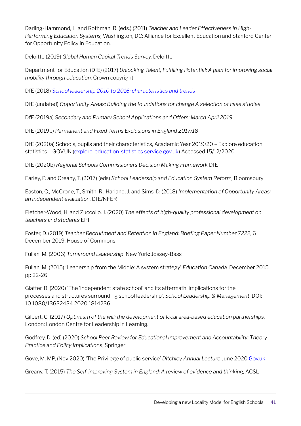Darling-Hammond, L. and Rothman, R. (eds.) (2011) *Teacher and Leader Effectiveness in High-Performing Education Systems,* Washington, DC: Alliance for Excellent Education and Stanford Center for Opportunity Policy in Education.

Deloitte (2019) *Global Human Capital Trends Survey,* Deloitte

Department for Education (DfE) (2017) *Unlocking Talent, Fulfilling Potential: A plan for improving social mobility through education,* Crown copyright

DfE (2018) *[School leadership 2010 to 2016: characteristics and trends](https://www.gov.uk/government/publications/school-leadership-2010-to-2016-characteristics-and-trends)*

DfE (undated) *Opportunity Areas: Building the foundations for change A selection of case studies*

DfE (2019a) *Secondary and Primary School Applications and Offers: March April 2019*

DfE (2019b) *Permanent and Fixed Terms Exclusions in England 2017/18*

DfE (2020a) [Schools, pupils and their characteristics, Academic Year 2019/20 – Explore education](https://explore-education-statistics.service.gov.uk/find-statistics/school-pupils-and-their-characteristics)  [statistics – GOV.UK \(explore-education-statistics.service.gov.uk](https://explore-education-statistics.service.gov.uk/find-statistics/school-pupils-and-their-characteristics)) Accessed 15/12/2020

DfE (2020b) *Regional Schools Commissioners Decision Making Framework* DfE

Earley, P. and Greany, T. (2017) (eds) *School Leadership and Education System Reform,* Bloomsbury

Easton, C., McCrone, T., Smith, R., Harland, J. and Sims, D. (2018) *Implementation of Opportunity Areas: an independent evaluation,* DfE/NFER

Fletcher-Wood, H. and Zuccollo, J. (2020) *The effects of high-quality professional development on teachers and students* EPI

Foster, D. (2019) *Teacher Recruitment and Retention in England: Briefing Paper Number 7222*, 6 December 2019, House of Commons

Fullan, M. (2006) *Turnaround Leadership*. New York: Jossey-Bass

Fullan, M. (2015) 'Leadership from the Middle: A system strategy' *Education Canada.* December 2015 pp 22-26

Glatter, R. (2020) 'The 'independent state school' and its aftermath: implications for the processes and structures surrounding school leadership', *School Leadership & Management*, DOI: 10.1080/13632434.2020.1814236

Gilbert, C. (2017) *Optimism of the will: the development of local area-based education partnerships.*  London: London Centre for Leadership in Learning.

Godfrey, D. (ed) (2020) *School Peer Review for Educational Improvement and Accountability: Theory, Practice and Policy Implications*, Springer

Gove, M. MP, (Nov 2020) 'The Privilege of public service' *Ditchley Annual Lecture* June 2020 [Gov.uk](http://Gov.uk)

Greany, T. (2015) *The Self-improving System in England: A review of evidence and thinking, ACSL*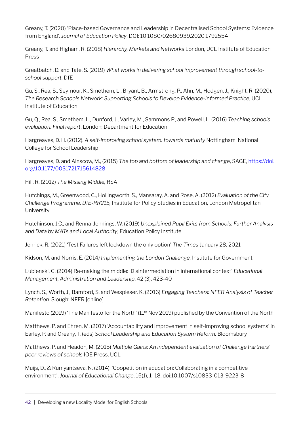Greany, T. (2020) 'Place-based Governance and Leadership in Decentralised School Systems: Evidence from England'. *Journal of Education Policy*, DOI: 10.1080/02680939.2020.1792554

Greany, T. and Higham, R. (2018) *Hierarchy, Markets and Networks* London, UCL Institute of Education Press

Greatbatch, D. and Tate, S. (2019) *What works in delivering school improvement through school-toschool support,* DfE

Gu, S., Rea, S., Seymour, K., Smethem, L., Bryant, B., Armstrong, P., Ahn, M., Hodgen, J., Knight, R. (2020), *The Research Schools Network: Supporting Schools to Develop Evidence-Informed Practice*, UCL Institute of Education

Gu, Q., Rea, S., Smethem, L., Dunford, J., Varley, M., Sammons P., and Powell, L. (2016) *Teaching schools evaluation: Final report*. London: Department for Education

Hargreaves, D. H. (2012). *A self-improving school system: towards maturity* Nottingham: National College for School Leadership

Hargreaves, D. and Ainscow, M., (2015) *The top and bottom of leadership and change*, SAGE, [https://doi.](https://doi.org/10.1177/0031721715614828) [org/10.1177/0031721715614828](https://doi.org/10.1177/0031721715614828)

Hill, R. (2012) *The Missing Middle,* RSA

Hutchings, M., Greenwood, C., Hollingworth, S., Mansaray, A. and Rose, A. (2012) *Evaluation of the City Challenge Programme, DfE-RR215,* Institute for Policy Studies in Education, London Metropolitan University

Hutchinson, J.C., and Renna-Jennings, W. (2019) *Unexplained Pupil Exits from Schools: Further Analysis and Data by MATs and Local Authority*, Education Policy Institute

Jenrick, R. (2021) 'Test Failures left lockdown the only option' *The Times* January 28, 2021

Kidson, M. and Norris, E. (2014*) Implementing the London Challenge,* Institute for Government

Lubienski, C. (2014) Re-making the middle: 'Disintermediation in international context' *Educational Management, Administration and Leadership*, 42 (3), 423-40

Lynch, S., Worth, J., Bamford, S. and Wespieser, K. (2016) *Engaging Teachers: NFER Analysis of Teacher Retention*. Slough: NFER [online].

Manifesto (2019) 'The Manifesto for the North' (11<sup>th</sup> Nov 2019) published by the Convention of the North

Matthews, P. and Ehren, M. (2017) 'Accountability and improvement in self-improving school systems' in Earley, P. and Greany, T. (eds) *School Leadership and Education System Reform,* Bloomsbury

Matthews, P. and Headon, M. (2015) *Multiple Gains: An independent evaluation of Challenge Partners' peer reviews of schools* IOE Press, UCL

Muijs, D., & Rumyantseva, N. (2014). 'Coopetition in education: Collaborating in a competitive environment'. *Journal of Educational Change*, 15(1), 1–18. doi:10.1007/s10833-013-9223-8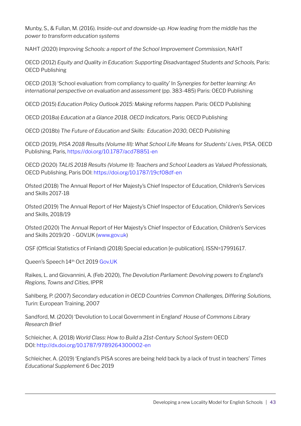Munby, S., & Fullan, M. (2016). *Inside-out and downside-up. How leading from the middle has the power to transform education systems*

NAHT (2020) *Improving Schools: a report of the School Improvement Commission*, NAHT

OECD (2012) *Equity and Quality in Education: Supporting Disadvantaged Students and Schools,* Paris: OECD Publishing

OECD (2013) 'School evaluation: from compliancy to quality' In *Synergies for better learning: An international perspective on evaluation and assessment* (pp. 383-485) Paris: OECD Publishing

OECD (2015) *Education Policy Outlook 2015: Making reforms happen*. Paris: OECD Publishing

OECD (2018a) *Education at a Glance 2018, OECD Indicators*, Paris: OECD Publishing

OECD (2018b) *The Future of Education and Skills: Education 2030*, OECD Publishing

OECD (2019), *PISA 2018 Results (Volume III): What School Life Means for Students' Lives*, PISA, OECD Publishing, Paris,<https://doi.org/10.1787/acd78851-en>

OECD (2020) *TALIS 2018 Results (Volume II): Teachers and School Leaders as Valued Professionals,*  OECD Publishing, Paris DOI:<https://doi.org/10.1787/19cf08df-en>

Ofsted (2018) The Annual Report of Her Majesty's Chief Inspector of Education, Children's Services and Skills 2017-18

Ofsted (2019) The Annual Report of Her Majesty's Chief Inspector of Education, Children's Services and Skills, 2018/19

Ofsted (2020) The Annual Report of Her Majesty's Chief Inspector of Education, Children's Services and Skills 2019/20 - GOV.UK [\(www.gov.uk\)](https://www.gov.uk/government/publications/ofsted-annual-report-201920-education-childrens-services-and-skills/the-annual-report-of-her-majestys-chief-inspector-of-education-childrens-services-and-skills-201920)

OSF (Official Statistics of Finland) (2018) Special education [e-publication]. ISSN=17991617.

Queen's Speech 14th Oct 2019 [Gov.UK](http://Gov.UK)

Raikes, L. and Giovannini, A. (Feb 2020), *The Devolution Parliament: Devolving powers to England's Regions, Towns and Cities*, IPPR

Sahlberg, P. (2007) *Secondary education in OECD Countries Common Challenges, Differing Solutions,*  Turin: European Training, 2007

Sandford, M. (2020) 'Devolution to Local Government in England' *House of Commons Library Research Brief*

Schleicher, A. (2018) *World Class: How to Build a 21st-Century School System* OECD DOI: <http://dx.doi.org/10.1787/9789264300002-en>

Schleicher, A. (2019) 'England's PISA scores are being held back by a lack of trust in teachers' *Times Educational Supplement* 6 Dec 2019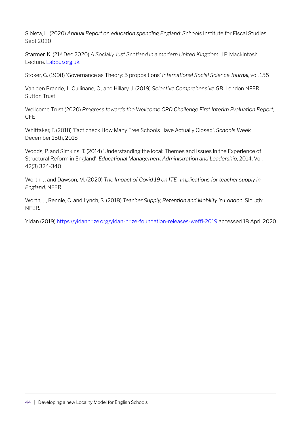Sibieta, L. (2020) *Annual Report on education spending England: Schools* Institute for Fiscal Studies. Sept 2020

Starmer, K. (21st Dec 2020) *A Socially Just Scotland in a modern United Kingdom*, J.P. Mackintosh Lecture. [Labour.org.uk](http://Labour.org.uk).

Stoker, G. (1998) 'Governance as Theory: 5 propositions' *International Social Science Journal*, vol. 155

Van den Brande, J., Cullinane, C., and Hillary, J. (2019) *Selective Comprehensive GB.* London NFER Sutton Trust

Wellcome Trust (2020) *Progress towards the Wellcome CPD Challenge First Interim Evaluation Report,*  CFE

Whittaker, F. (2018) 'Fact check How Many Free Schools Have Actually Closed'. *Schools Week* December 15th, 2018

Woods, P. and Simkins. T. (2014) 'Understanding the local: Themes and Issues in the Experience of Structural Reform in England', *Educational Management Administration and Leadership*, 2014, Vol. 42(3) 324-340

Worth, J. and Dawson, M. (2020) *The Impact of Covid 19 on ITE -Implications for teacher supply in England,* NFER

Worth, J., Rennie, C. and Lynch, S. (2018) *Teacher Supply, Retention and Mobility in London.* Slough: NFER.

Yidan (2019) <https://yidanprize.org/yidan-prize-foundation-releases-weffi-2019> accessed 18 April 2020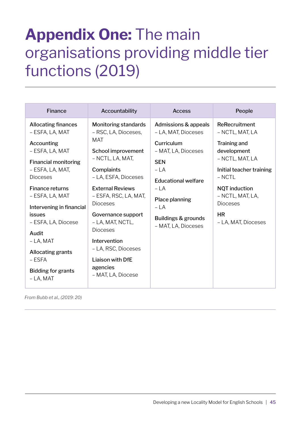### <span id="page-46-0"></span>**Appendix One:** The main organisations providing middle tier functions (2019)

| Finance                                                                                                                                                                                                                                                                                                                                                                  | Accountability                                                                                                                                                                                                                                                                                                                                                                     | <b>Access</b>                                                                                                                                                                                                           | People                                                                                                                                                                                                                        |
|--------------------------------------------------------------------------------------------------------------------------------------------------------------------------------------------------------------------------------------------------------------------------------------------------------------------------------------------------------------------------|------------------------------------------------------------------------------------------------------------------------------------------------------------------------------------------------------------------------------------------------------------------------------------------------------------------------------------------------------------------------------------|-------------------------------------------------------------------------------------------------------------------------------------------------------------------------------------------------------------------------|-------------------------------------------------------------------------------------------------------------------------------------------------------------------------------------------------------------------------------|
| <b>Allocating finances</b><br>- ESFA, LA, MAT<br>Accounting<br>- ESFA, LA, MAT<br><b>Financial monitoring</b><br>- ESFA, LA, MAT,<br><b>Dioceses</b><br><b>Finance returns</b><br>– ESFA, LA, MAT<br>Intervening in financial<br><i>issues</i><br>- ESFA, LA, Diocese<br>Audit<br>$-LA$ , MAT<br>Allocating grants<br>– ESFA<br><b>Bidding for grants</b><br>$- LA, MAT$ | <b>Monitoring standards</b><br>- RSC, LA, Dioceses,<br>MAT<br>School improvement<br>– NCTL, LA, MAT,<br>Complaints<br>- LA, ESFA, Dioceses<br><b>External Reviews</b><br>– ESFA, RSC, LA, MAT,<br><b>Dioceses</b><br>Governance support<br>– LA, MAT, NCTL,<br><b>Dioceses</b><br>Intervention<br>- LA, RSC, Dioceses<br><b>Liaison with DfE</b><br>agencies<br>- MAT, LA, Diocese | Admissions & appeals<br>- LA, MAT, Dioceses<br>Curriculum<br>- MAT, LA, Dioceses<br><b>SEN</b><br>$-LA$<br><b>Educational welfare</b><br>$-LA$<br>Place planning<br>$-LA$<br>Buildings & grounds<br>- MAT, LA, Dioceses | ReRecruitment<br>- NCTL, MAT, LA<br>Training and<br>development<br>- NCTL, MAT, LA<br>Initial teacher training<br>$-$ NCTL<br><b>NQT</b> induction<br>- NCTL, MAT, LA,<br><b>Dioceses</b><br><b>HR</b><br>- LA, MAT, Dioceses |

*From Bubb et al., (2019: 20)*